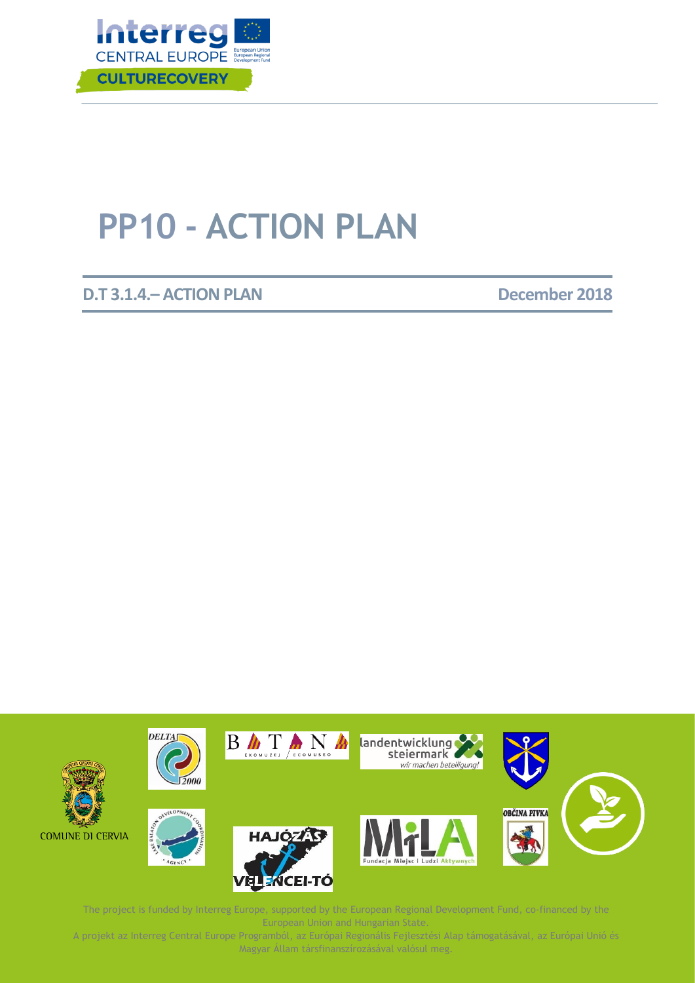

# **PP10 - ACTION PLAN**

**D.T 3.1.4.– ACTION PLAN December 2018** 



The project is funded by Interreg Europe, supported by the European Regional Development Fund, co-financed by the A projekt az Interreg Central European Union and Hungarian State. The contral tamogatásával, az Európai Regionális Fejlesztési Alap támogatásával, az Európai Regionális Fejlesztési Alap támogatásával, az Európai Regionális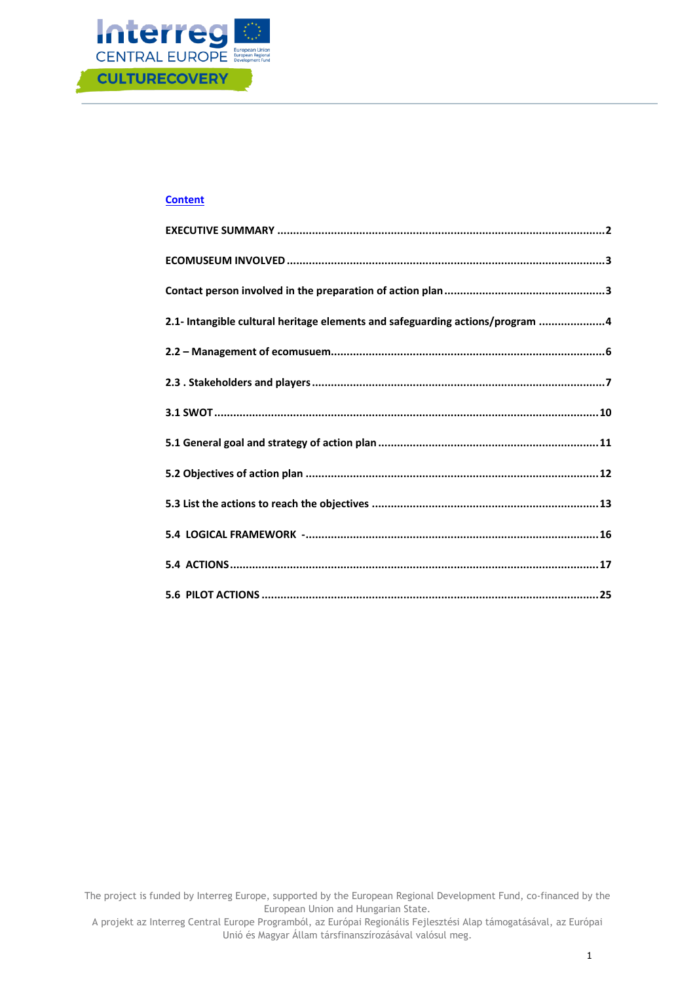

### **Content**

| 2.1- Intangible cultural heritage elements and safeguarding actions/program 4 |  |
|-------------------------------------------------------------------------------|--|
|                                                                               |  |
|                                                                               |  |
|                                                                               |  |
|                                                                               |  |
|                                                                               |  |
|                                                                               |  |
|                                                                               |  |
|                                                                               |  |
|                                                                               |  |

The project is funded by Interreg Europe, supported by the European Regional Development Fund, co-financed by the European Union and Hungarian State.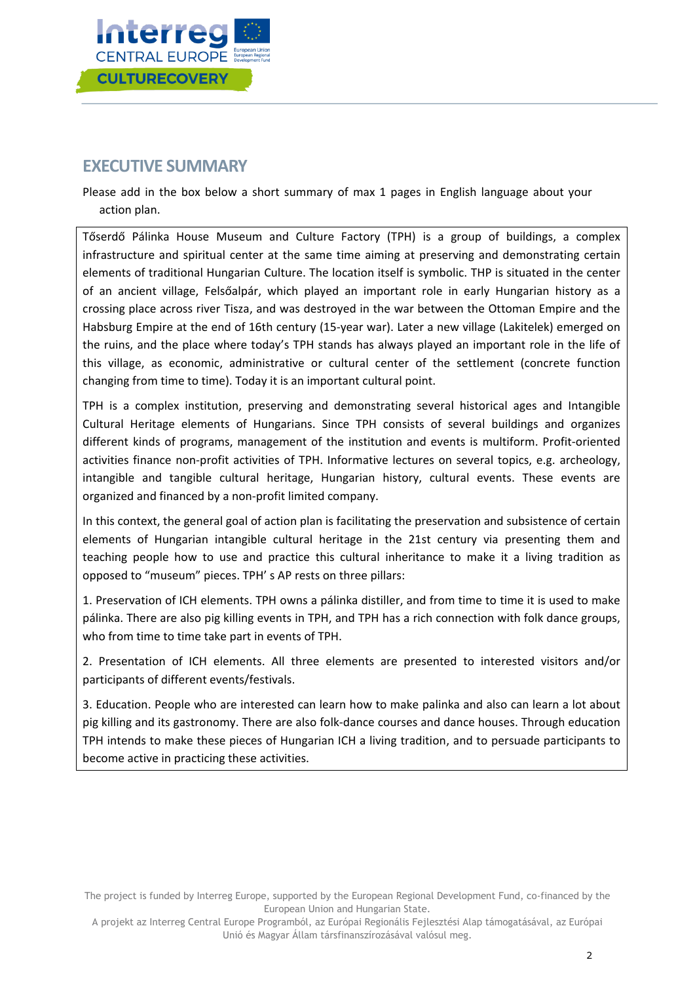

## <span id="page-2-0"></span>**EXECUTIVE SUMMARY**

Please add in the box below a short summary of max 1 pages in English language about your action plan.

Tőserdő Pálinka House Museum and Culture Factory (TPH) is a group of buildings, a complex infrastructure and spiritual center at the same time aiming at preserving and demonstrating certain elements of traditional Hungarian Culture. The location itself is symbolic. THP is situated in the center of an ancient village, Felsőalpár, which played an important role in early Hungarian history as a crossing place across river Tisza, and was destroyed in the war between the Ottoman Empire and the Habsburg Empire at the end of 16th century (15-year war). Later a new village (Lakitelek) emerged on the ruins, and the place where today's TPH stands has always played an important role in the life of this village, as economic, administrative or cultural center of the settlement (concrete function changing from time to time). Today it is an important cultural point.

TPH is a complex institution, preserving and demonstrating several historical ages and Intangible Cultural Heritage elements of Hungarians. Since TPH consists of several buildings and organizes different kinds of programs, management of the institution and events is multiform. Profit-oriented activities finance non-profit activities of TPH. Informative lectures on several topics, e.g. archeology, intangible and tangible cultural heritage, Hungarian history, cultural events. These events are organized and financed by a non-profit limited company.

In this context, the general goal of action plan is facilitating the preservation and subsistence of certain elements of Hungarian intangible cultural heritage in the 21st century via presenting them and teaching people how to use and practice this cultural inheritance to make it a living tradition as opposed to "museum" pieces. TPH' s AP rests on three pillars:

1. Preservation of ICH elements. TPH owns a pálinka distiller, and from time to time it is used to make pálinka. There are also pig killing events in TPH, and TPH has a rich connection with folk dance groups, who from time to time take part in events of TPH.

2. Presentation of ICH elements. All three elements are presented to interested visitors and/or participants of different events/festivals.

3. Education. People who are interested can learn how to make palinka and also can learn a lot about pig killing and its gastronomy. There are also folk-dance courses and dance houses. Through education TPH intends to make these pieces of Hungarian ICH a living tradition, and to persuade participants to become active in practicing these activities.

The project is funded by Interreg Europe, supported by the European Regional Development Fund, co-financed by the European Union and Hungarian State.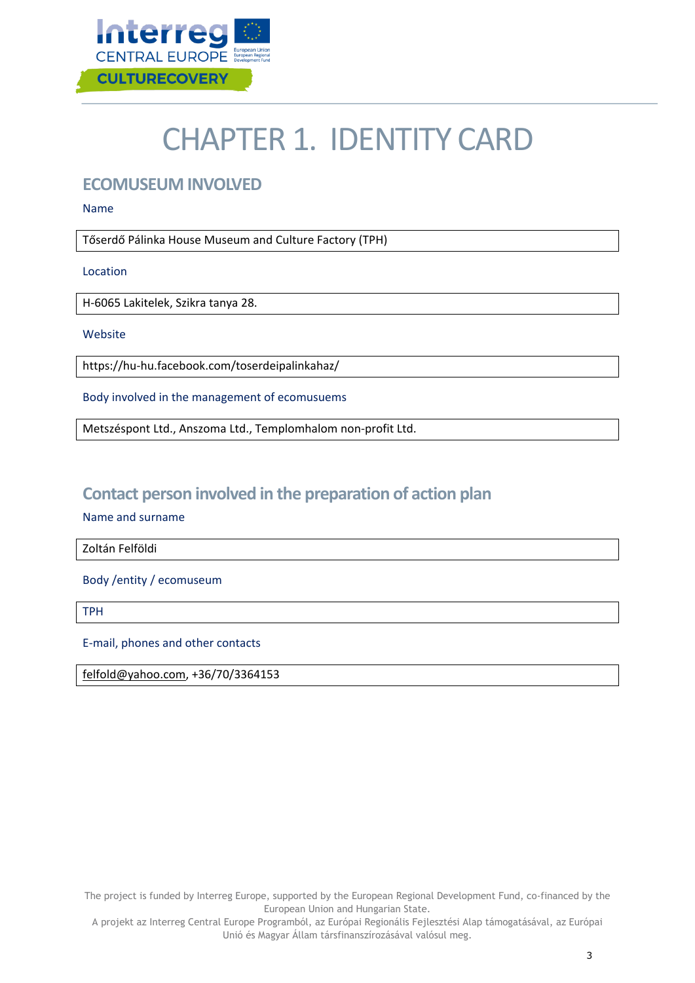

# CHAPTER 1. IDENTITY CARD

## <span id="page-3-0"></span>**ECOMUSEUM INVOLVED**

Name

Tőserdő Pálinka House Museum and Culture Factory (TPH)

Location

H-6065 Lakitelek, Szikra tanya 28.

Website

https://hu-hu.facebook.com/toserdeipalinkahaz/

Body involved in the management of ecomusuems

Metszéspont Ltd., Anszoma Ltd., Templomhalom non-profit Ltd.

## <span id="page-3-1"></span>**Contact person involved in the preparation of action plan**

Name and surname

Zoltán Felföldi

Body /entity / ecomuseum

TPH

E-mail, phones and other contacts

[felfold@yahoo.com,](mailto:felfold@yahoo.com) +36/70/3364153

The project is funded by Interreg Europe, supported by the European Regional Development Fund, co-financed by the European Union and Hungarian State.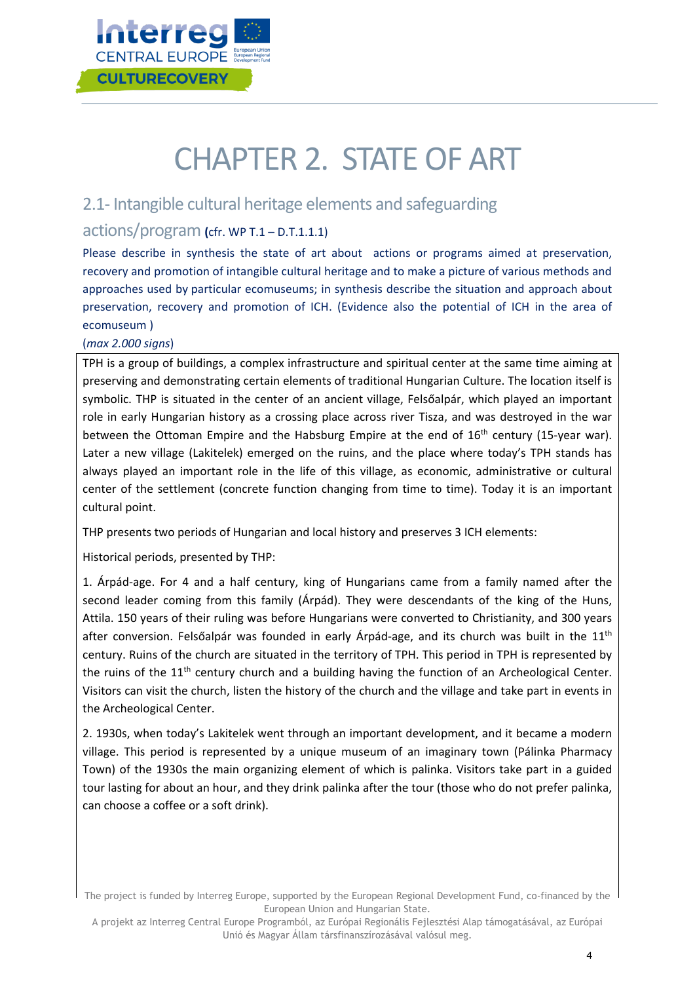

# CHAPTER 2. STATE OF ART

## <span id="page-4-0"></span>2.1- Intangible cultural heritage elements and safeguarding

### actions/program **(**cfr. WP T.1 – D.T.1.1.1)

Please describe in synthesis the state of art about actions or programs aimed at preservation, recovery and promotion of intangible cultural heritage and to make a picture of various methods and approaches used by particular ecomuseums; in synthesis describe the situation and approach about preservation, recovery and promotion of ICH. (Evidence also the potential of ICH in the area of ecomuseum )

### (*max 2.000 signs*)

TPH is a group of buildings, a complex infrastructure and spiritual center at the same time aiming at preserving and demonstrating certain elements of traditional Hungarian Culture. The location itself is symbolic. THP is situated in the center of an ancient village, Felsőalpár, which played an important role in early Hungarian history as a crossing place across river Tisza, and was destroyed in the war between the Ottoman Empire and the Habsburg Empire at the end of  $16<sup>th</sup>$  century (15-year war). Later a new village (Lakitelek) emerged on the ruins, and the place where today's TPH stands has always played an important role in the life of this village, as economic, administrative or cultural center of the settlement (concrete function changing from time to time). Today it is an important cultural point.

THP presents two periods of Hungarian and local history and preserves 3 ICH elements:

Historical periods, presented by THP:

1. Árpád-age. For 4 and a half century, king of Hungarians came from a family named after the second leader coming from this family (Árpád). They were descendants of the king of the Huns, Attila. 150 years of their ruling was before Hungarians were converted to Christianity, and 300 years after conversion. Felsőalpár was founded in early Árpád-age, and its church was built in the 11<sup>th</sup> century. Ruins of the church are situated in the territory of TPH. This period in TPH is represented by the ruins of the  $11<sup>th</sup>$  century church and a building having the function of an Archeological Center. Visitors can visit the church, listen the history of the church and the village and take part in events in the Archeological Center.

2. 1930s, when today's Lakitelek went through an important development, and it became a modern village. This period is represented by a unique museum of an imaginary town (Pálinka Pharmacy Town) of the 1930s the main organizing element of which is palinka. Visitors take part in a guided tour lasting for about an hour, and they drink palinka after the tour (those who do not prefer palinka, can choose a coffee or a soft drink).

The project is funded by Interreg Europe, supported by the European Regional Development Fund, co-financed by the European Union and Hungarian State.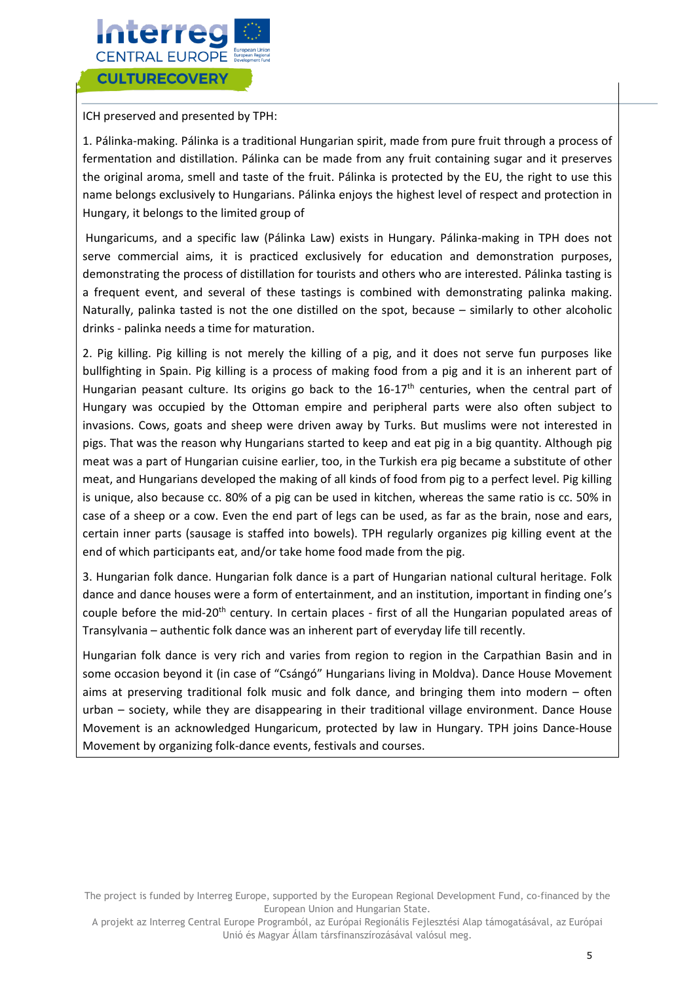

ICH preserved and presented by TPH:

1. Pálinka-making. Pálinka is a traditional Hungarian spirit, made from pure fruit through a process of fermentation and distillation. Pálinka can be made from any fruit containing sugar and it preserves the original aroma, smell and taste of the fruit. Pálinka is protected by the EU, the right to use this name belongs exclusively to Hungarians. Pálinka enjoys the highest level of respect and protection in Hungary, it belongs to the limited group of

Hungaricums, and a specific law (Pálinka Law) exists in Hungary. Pálinka-making in TPH does not serve commercial aims, it is practiced exclusively for education and demonstration purposes, demonstrating the process of distillation for tourists and others who are interested. Pálinka tasting is a frequent event, and several of these tastings is combined with demonstrating palinka making. Naturally, palinka tasted is not the one distilled on the spot, because – similarly to other alcoholic drinks - palinka needs a time for maturation.

2. Pig killing. Pig killing is not merely the killing of a pig, and it does not serve fun purposes like bullfighting in Spain. Pig killing is a process of making food from a pig and it is an inherent part of Hungarian peasant culture. Its origins go back to the  $16-17<sup>th</sup>$  centuries, when the central part of Hungary was occupied by the Ottoman empire and peripheral parts were also often subject to invasions. Cows, goats and sheep were driven away by Turks. But muslims were not interested in pigs. That was the reason why Hungarians started to keep and eat pig in a big quantity. Although pig meat was a part of Hungarian cuisine earlier, too, in the Turkish era pig became a substitute of other meat, and Hungarians developed the making of all kinds of food from pig to a perfect level. Pig killing is unique, also because cc. 80% of a pig can be used in kitchen, whereas the same ratio is cc. 50% in case of a sheep or a cow. Even the end part of legs can be used, as far as the brain, nose and ears, certain inner parts (sausage is staffed into bowels). TPH regularly organizes pig killing event at the end of which participants eat, and/or take home food made from the pig.

3. Hungarian folk dance. Hungarian folk dance is a part of Hungarian national cultural heritage. Folk dance and dance houses were a form of entertainment, and an institution, important in finding one's couple before the mid-20<sup>th</sup> century. In certain places - first of all the Hungarian populated areas of Transylvania – authentic folk dance was an inherent part of everyday life till recently.

Hungarian folk dance is very rich and varies from region to region in the Carpathian Basin and in some occasion beyond it (in case of "Csángó" Hungarians living in Moldva). Dance House Movement aims at preserving traditional folk music and folk dance, and bringing them into modern – often urban – society, while they are disappearing in their traditional village environment. Dance House Movement is an acknowledged Hungaricum, protected by law in Hungary. TPH joins Dance-House Movement by organizing folk-dance events, festivals and courses.

The project is funded by Interreg Europe, supported by the European Regional Development Fund, co-financed by the European Union and Hungarian State.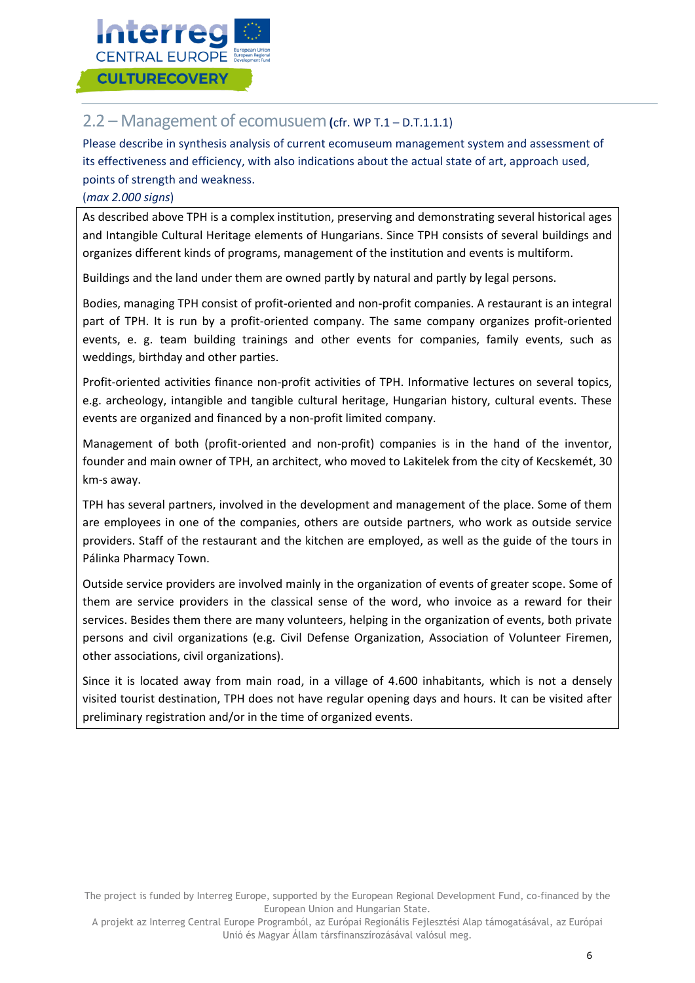

### <span id="page-6-0"></span>2.2 – Management of ecomusuem**(**cfr. WP T.1 – D.T.1.1.1)

Please describe in synthesis analysis of current ecomuseum management system and assessment of its effectiveness and efficiency, with also indications about the actual state of art, approach used, points of strength and weakness.

#### (*max 2.000 signs*)

As described above TPH is a complex institution, preserving and demonstrating several historical ages and Intangible Cultural Heritage elements of Hungarians. Since TPH consists of several buildings and organizes different kinds of programs, management of the institution and events is multiform.

Buildings and the land under them are owned partly by natural and partly by legal persons.

Bodies, managing TPH consist of profit-oriented and non-profit companies. A restaurant is an integral part of TPH. It is run by a profit-oriented company. The same company organizes profit-oriented events, e. g. team building trainings and other events for companies, family events, such as weddings, birthday and other parties.

Profit-oriented activities finance non-profit activities of TPH. Informative lectures on several topics, e.g. archeology, intangible and tangible cultural heritage, Hungarian history, cultural events. These events are organized and financed by a non-profit limited company.

Management of both (profit-oriented and non-profit) companies is in the hand of the inventor, founder and main owner of TPH, an architect, who moved to Lakitelek from the city of Kecskemét, 30 km-s away.

TPH has several partners, involved in the development and management of the place. Some of them are employees in one of the companies, others are outside partners, who work as outside service providers. Staff of the restaurant and the kitchen are employed, as well as the guide of the tours in Pálinka Pharmacy Town.

Outside service providers are involved mainly in the organization of events of greater scope. Some of them are service providers in the classical sense of the word, who invoice as a reward for their services. Besides them there are many volunteers, helping in the organization of events, both private persons and civil organizations (e.g. Civil Defense Organization, Association of Volunteer Firemen, other associations, civil organizations).

Since it is located away from main road, in a village of 4.600 inhabitants, which is not a densely visited tourist destination, TPH does not have regular opening days and hours. It can be visited after preliminary registration and/or in the time of organized events.

The project is funded by Interreg Europe, supported by the European Regional Development Fund, co-financed by the European Union and Hungarian State.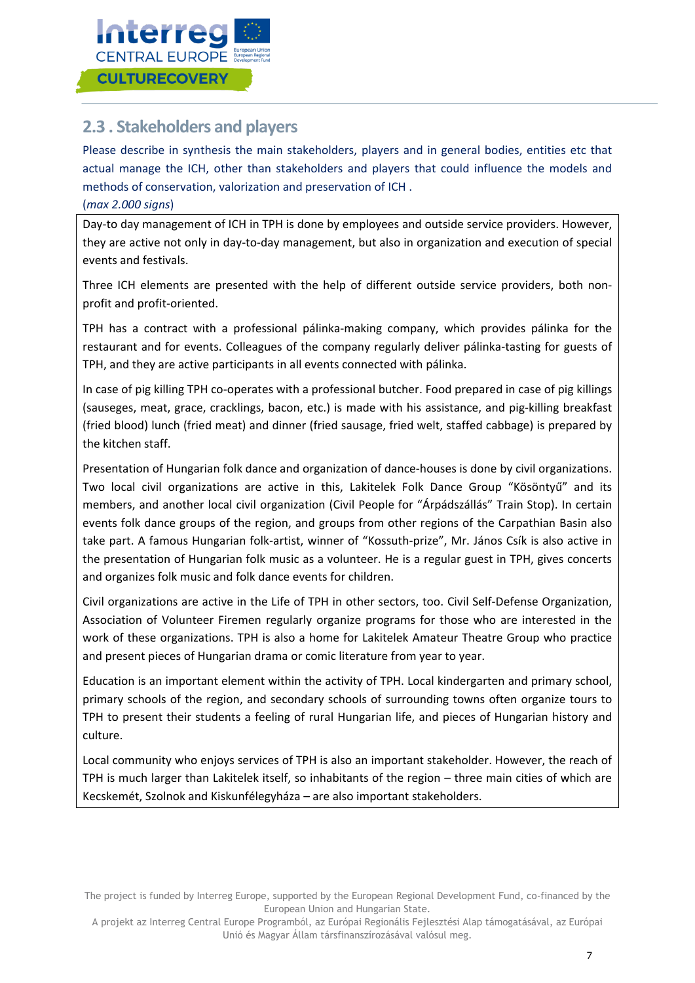

## <span id="page-7-0"></span>**2.3 . Stakeholders and players**

Please describe in synthesis the main stakeholders, players and in general bodies, entities etc that actual manage the ICH, other than stakeholders and players that could influence the models and methods of conservation, valorization and preservation of ICH .

### (*max 2.000 signs*)

Day-to day management of ICH in TPH is done by employees and outside service providers. However, they are active not only in day-to-day management, but also in organization and execution of special events and festivals.

Three ICH elements are presented with the help of different outside service providers, both nonprofit and profit-oriented.

TPH has a contract with a professional pálinka-making company, which provides pálinka for the restaurant and for events. Colleagues of the company regularly deliver pálinka-tasting for guests of TPH, and they are active participants in all events connected with pálinka.

In case of pig killing TPH co-operates with a professional butcher. Food prepared in case of pig killings (sauseges, meat, grace, cracklings, bacon, etc.) is made with his assistance, and pig-killing breakfast (fried blood) lunch (fried meat) and dinner (fried sausage, fried welt, staffed cabbage) is prepared by the kitchen staff.

Presentation of Hungarian folk dance and organization of dance-houses is done by civil organizations. Two local civil organizations are active in this, Lakitelek Folk Dance Group "Kösöntyű" and its members, and another local civil organization (Civil People for "Árpádszállás" Train Stop). In certain events folk dance groups of the region, and groups from other regions of the Carpathian Basin also take part. A famous Hungarian folk-artist, winner of "Kossuth-prize", Mr. János Csík is also active in the presentation of Hungarian folk music as a volunteer. He is a regular guest in TPH, gives concerts and organizes folk music and folk dance events for children.

Civil organizations are active in the Life of TPH in other sectors, too. Civil Self-Defense Organization, Association of Volunteer Firemen regularly organize programs for those who are interested in the work of these organizations. TPH is also a home for Lakitelek Amateur Theatre Group who practice and present pieces of Hungarian drama or comic literature from year to year.

Education is an important element within the activity of TPH. Local kindergarten and primary school, primary schools of the region, and secondary schools of surrounding towns often organize tours to TPH to present their students a feeling of rural Hungarian life, and pieces of Hungarian history and culture.

Local community who enjoys services of TPH is also an important stakeholder. However, the reach of TPH is much larger than Lakitelek itself, so inhabitants of the region – three main cities of which are Kecskemét, Szolnok and Kiskunfélegyháza – are also important stakeholders.

The project is funded by Interreg Europe, supported by the European Regional Development Fund, co-financed by the European Union and Hungarian State.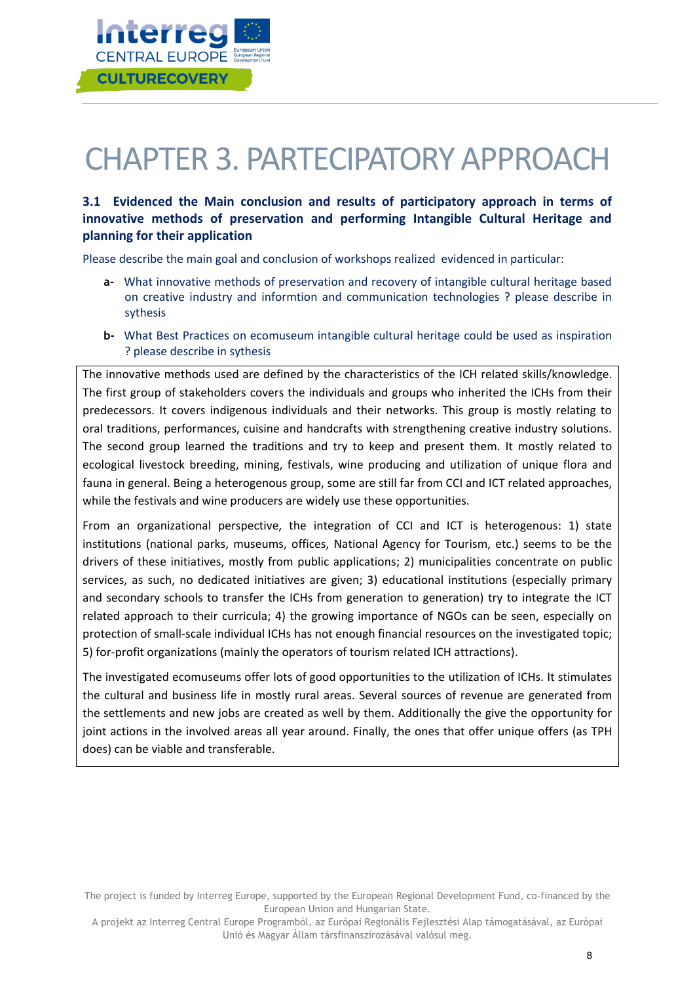

# CHAPTER 3. PARTECIPATORY APPROACH

### **3.1 Evidenced the Main conclusion and results of participatory approach in terms of innovative methods of preservation and performing Intangible Cultural Heritage and planning for their application**

Please describe the main goal and conclusion of workshops realized evidenced in particular:

- **a-** What innovative methods of preservation and recovery of intangible cultural heritage based on creative industry and informtion and communication technologies ? please describe in sythesis
- **b-** What Best Practices on ecomuseum intangible cultural heritage could be used as inspiration ? please describe in sythesis

The innovative methods used are defined by the characteristics of the ICH related skills/knowledge. The first group of stakeholders covers the individuals and groups who inherited the ICHs from their predecessors. It covers indigenous individuals and their networks. This group is mostly relating to oral traditions, performances, cuisine and handcrafts with strengthening creative industry solutions. The second group learned the traditions and try to keep and present them. It mostly related to ecological livestock breeding, mining, festivals, wine producing and utilization of unique flora and fauna in general. Being a heterogenous group, some are still far from CCI and ICT related approaches, while the festivals and wine producers are widely use these opportunities.

From an organizational perspective, the integration of CCI and ICT is heterogenous: 1) state institutions (national parks, museums, offices, National Agency for Tourism, etc.) seems to be the drivers of these initiatives, mostly from public applications; 2) municipalities concentrate on public services, as such, no dedicated initiatives are given; 3) educational institutions (especially primary and secondary schools to transfer the ICHs from generation to generation) try to integrate the ICT related approach to their curricula; 4) the growing importance of NGOs can be seen, especially on protection of small-scale individual ICHs has not enough financial resources on the investigated topic; 5) for-profit organizations (mainly the operators of tourism related ICH attractions).

The investigated ecomuseums offer lots of good opportunities to the utilization of ICHs. It stimulates the cultural and business life in mostly rural areas. Several sources of revenue are generated from the settlements and new jobs are created as well by them. Additionally the give the opportunity for joint actions in the involved areas all year around. Finally, the ones that offer unique offers (as TPH does) can be viable and transferable.

The project is funded by Interreg Europe, supported by the European Regional Development Fund, co-financed by the European Union and Hungarian State.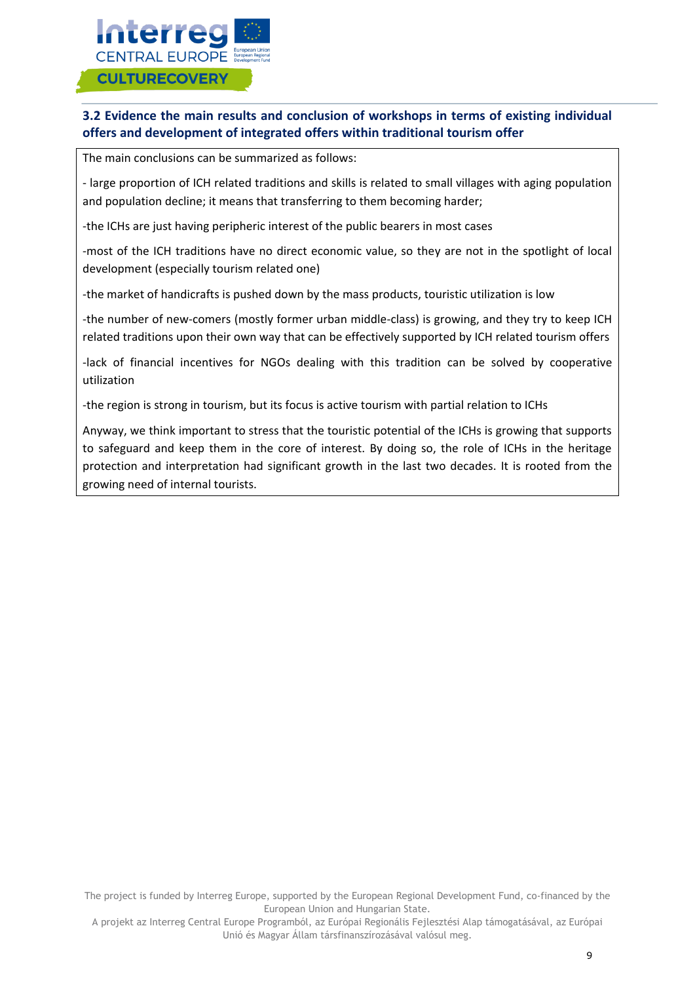

### **3.2 Evidence the main results and conclusion of workshops in terms of existing individual offers and development of integrated offers within traditional tourism offer**

The main conclusions can be summarized as follows:

- large proportion of ICH related traditions and skills is related to small villages with aging population and population decline; it means that transferring to them becoming harder;

-the ICHs are just having peripheric interest of the public bearers in most cases

-most of the ICH traditions have no direct economic value, so they are not in the spotlight of local development (especially tourism related one)

-the market of handicrafts is pushed down by the mass products, touristic utilization is low

-the number of new-comers (mostly former urban middle-class) is growing, and they try to keep ICH related traditions upon their own way that can be effectively supported by ICH related tourism offers

-lack of financial incentives for NGOs dealing with this tradition can be solved by cooperative utilization

-the region is strong in tourism, but its focus is active tourism with partial relation to ICHs

Anyway, we think important to stress that the touristic potential of the ICHs is growing that supports to safeguard and keep them in the core of interest. By doing so, the role of ICHs in the heritage protection and interpretation had significant growth in the last two decades. It is rooted from the growing need of internal tourists.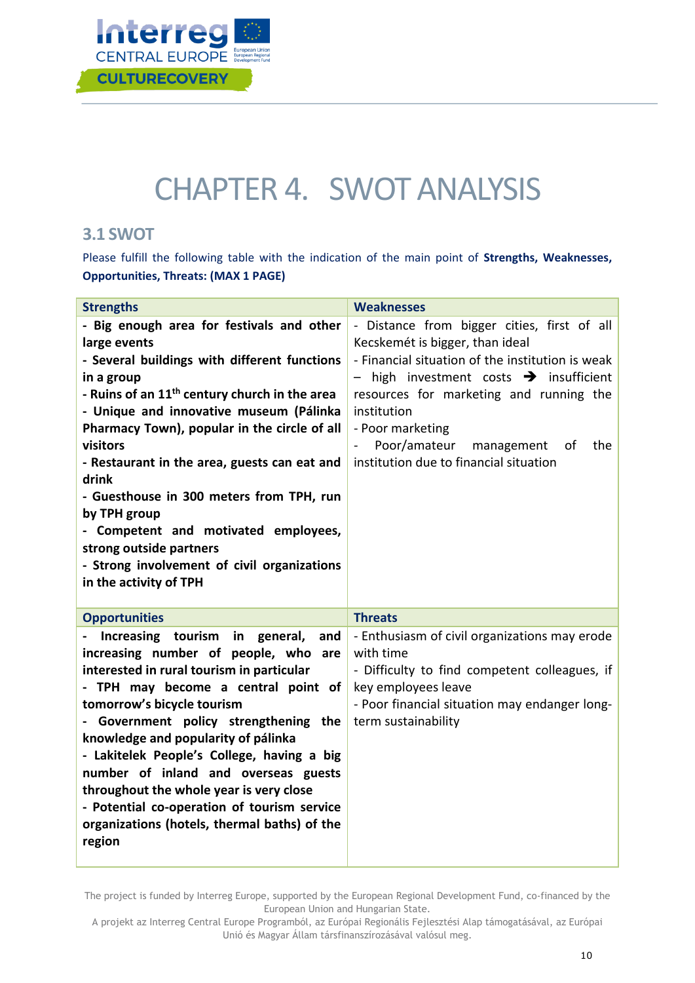

# CHAPTER 4. SWOT ANALYSIS

## <span id="page-10-0"></span>**3.1 SWOT**

Please fulfill the following table with the indication of the main point of **Strengths, Weaknesses, Opportunities, Threats: (MAX 1 PAGE)** 

| <b>Strengths</b>                                                                                                                                                                                                                                                                                                                                                                                                                                                                                                                                             | <b>Weaknesses</b>                                                                                                                                                                                                                                                                                                                                         |
|--------------------------------------------------------------------------------------------------------------------------------------------------------------------------------------------------------------------------------------------------------------------------------------------------------------------------------------------------------------------------------------------------------------------------------------------------------------------------------------------------------------------------------------------------------------|-----------------------------------------------------------------------------------------------------------------------------------------------------------------------------------------------------------------------------------------------------------------------------------------------------------------------------------------------------------|
| - Big enough area for festivals and other<br>large events<br>- Several buildings with different functions<br>in a group<br>- Ruins of an 11 <sup>th</sup> century church in the area<br>- Unique and innovative museum (Pálinka<br>Pharmacy Town), popular in the circle of all<br>visitors<br>- Restaurant in the area, guests can eat and<br>drink<br>- Guesthouse in 300 meters from TPH, run<br>by TPH group<br>- Competent and motivated employees,<br>strong outside partners<br>- Strong involvement of civil organizations<br>in the activity of TPH | - Distance from bigger cities, first of all<br>Kecskemét is bigger, than ideal<br>- Financial situation of the institution is weak<br>high investment costs $\rightarrow$ insufficient<br>resources for marketing and running the<br>institution<br>- Poor marketing<br>Poor/amateur<br>the<br>management<br>οf<br>institution due to financial situation |
| <b>Opportunities</b>                                                                                                                                                                                                                                                                                                                                                                                                                                                                                                                                         | <b>Threats</b>                                                                                                                                                                                                                                                                                                                                            |
| Increasing tourism<br>in<br>general,<br>and<br>increasing number of people, who are<br>interested in rural tourism in particular<br>- TPH may become a central point of<br>tomorrow's bicycle tourism<br>- Government policy strengthening the<br>knowledge and popularity of pálinka<br>- Lakitelek People's College, having a big<br>number of inland and overseas guests<br>throughout the whole year is very close<br>- Potential co-operation of tourism service<br>organizations (hotels, thermal baths) of the<br>region                              | - Enthusiasm of civil organizations may erode<br>with time<br>- Difficulty to find competent colleagues, if<br>key employees leave<br>- Poor financial situation may endanger long-<br>term sustainability                                                                                                                                                |

The project is funded by Interreg Europe, supported by the European Regional Development Fund, co-financed by the European Union and Hungarian State.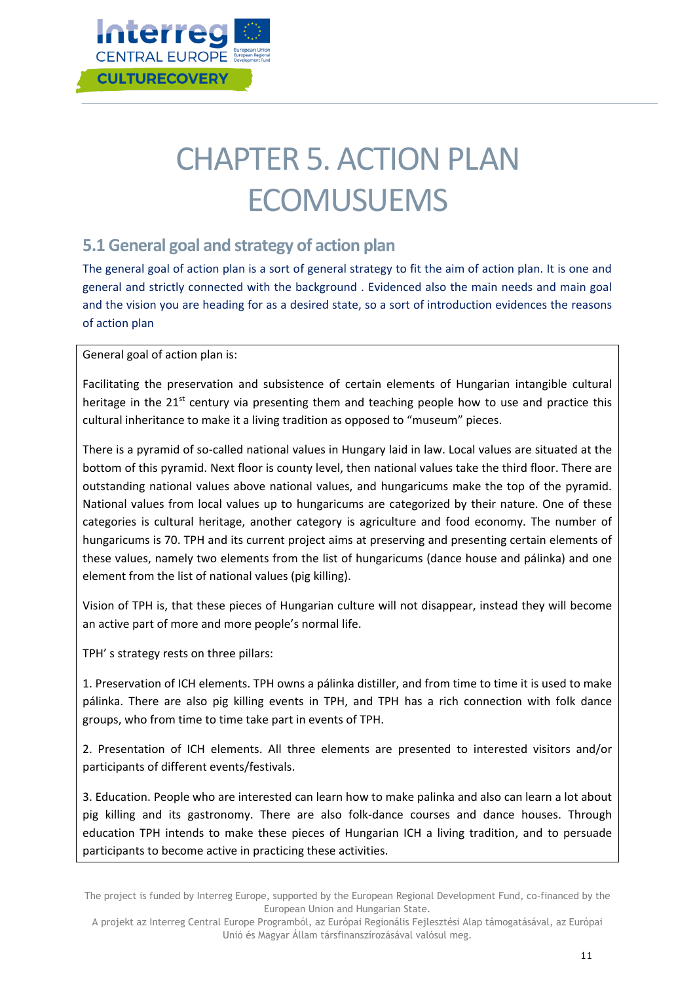

# CHAPTER 5. ACTION PLAN **ECOMUSUEMS**

## <span id="page-11-0"></span>**5.1 General goal and strategy of action plan**

The general goal of action plan is a sort of general strategy to fit the aim of action plan. It is one and general and strictly connected with the background . Evidenced also the main needs and main goal and the vision you are heading for as a desired state, so a sort of introduction evidences the reasons of action plan

General goal of action plan is:

Facilitating the preservation and subsistence of certain elements of Hungarian intangible cultural heritage in the  $21<sup>st</sup>$  century via presenting them and teaching people how to use and practice this cultural inheritance to make it a living tradition as opposed to "museum" pieces.

There is a pyramid of so-called national values in Hungary laid in law. Local values are situated at the bottom of this pyramid. Next floor is county level, then national values take the third floor. There are outstanding national values above national values, and hungaricums make the top of the pyramid. National values from local values up to hungaricums are categorized by their nature. One of these categories is cultural heritage, another category is agriculture and food economy. The number of hungaricums is 70. TPH and its current project aims at preserving and presenting certain elements of these values, namely two elements from the list of hungaricums (dance house and pálinka) and one element from the list of national values (pig killing).

Vision of TPH is, that these pieces of Hungarian culture will not disappear, instead they will become an active part of more and more people's normal life.

TPH' s strategy rests on three pillars:

1. Preservation of ICH elements. TPH owns a pálinka distiller, and from time to time it is used to make pálinka. There are also pig killing events in TPH, and TPH has a rich connection with folk dance groups, who from time to time take part in events of TPH.

2. Presentation of ICH elements. All three elements are presented to interested visitors and/or participants of different events/festivals.

3. Education. People who are interested can learn how to make palinka and also can learn a lot about pig killing and its gastronomy. There are also folk-dance courses and dance houses. Through education TPH intends to make these pieces of Hungarian ICH a living tradition, and to persuade participants to become active in practicing these activities.

The project is funded by Interreg Europe, supported by the European Regional Development Fund, co-financed by the European Union and Hungarian State.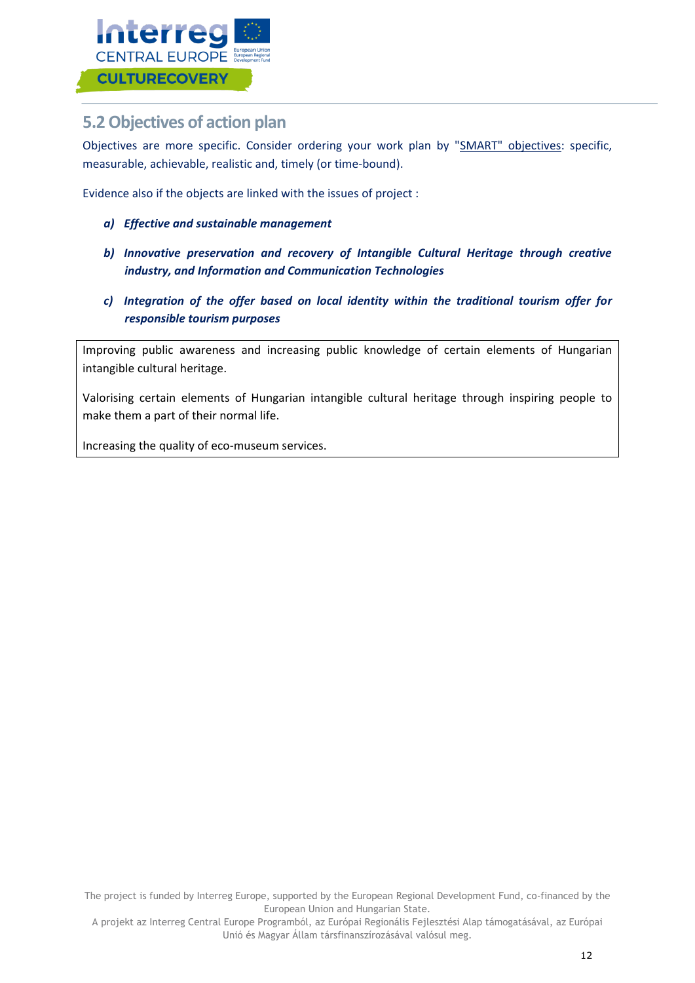

## <span id="page-12-0"></span>**5.2 Objectives of action plan**

Objectives are more specific. Consider ordering your work plan by "SMART" objectives: specific, measurable, achievable, realistic and, timely (or time-bound).

Evidence also if the objects are linked with the issues of project :

- *a) Effective and sustainable management*
- *b) Innovative preservation and recovery of Intangible Cultural Heritage through creative industry, and Information and Communication Technologies*
- *c) Integration of the offer based on local identity within the traditional tourism offer for responsible tourism purposes*

Improving public awareness and increasing public knowledge of certain elements of Hungarian intangible cultural heritage.

Valorising certain elements of Hungarian intangible cultural heritage through inspiring people to make them a part of their normal life.

<span id="page-12-1"></span>Increasing the quality of eco-museum services.

The project is funded by Interreg Europe, supported by the European Regional Development Fund, co-financed by the European Union and Hungarian State.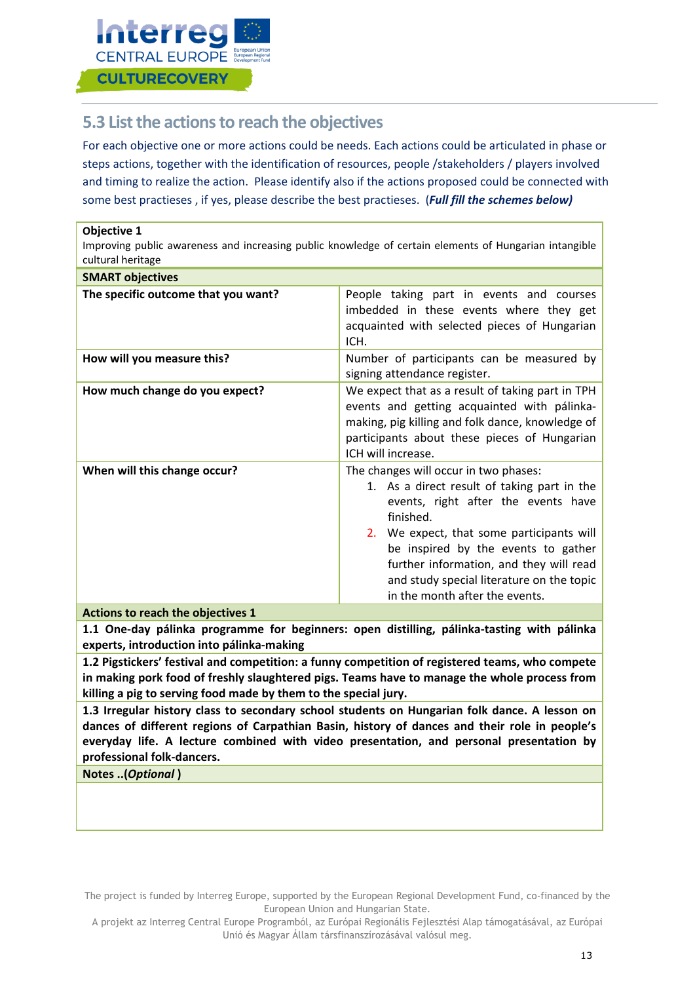

**Objective 1** 

## **5.3 List the actions to reach the objectives**

For each objective one or more actions could be needs. Each actions could be articulated in phase or steps actions, together with the identification of resources, people /stakeholders / players involved and timing to realize the action. Please identify also if the actions proposed could be connected with some best practieses , if yes, please describe the best practieses. (*Full fill the schemes below)*

| Improving public awareness and increasing public knowledge of certain elements of Hungarian intangible<br>cultural heritage |                                                                                                                                                                                                                                                                                                                                                        |
|-----------------------------------------------------------------------------------------------------------------------------|--------------------------------------------------------------------------------------------------------------------------------------------------------------------------------------------------------------------------------------------------------------------------------------------------------------------------------------------------------|
| <b>SMART objectives</b>                                                                                                     |                                                                                                                                                                                                                                                                                                                                                        |
| The specific outcome that you want?                                                                                         | People taking part in events and courses<br>imbedded in these events where they get<br>acquainted with selected pieces of Hungarian<br>ICH.                                                                                                                                                                                                            |
| How will you measure this?                                                                                                  | Number of participants can be measured by<br>signing attendance register.                                                                                                                                                                                                                                                                              |
| How much change do you expect?                                                                                              | We expect that as a result of taking part in TPH<br>events and getting acquainted with pálinka-<br>making, pig killing and folk dance, knowledge of<br>participants about these pieces of Hungarian<br>ICH will increase.                                                                                                                              |
| When will this change occur?                                                                                                | The changes will occur in two phases:<br>1. As a direct result of taking part in the<br>events, right after the events have<br>finished.<br>2. We expect, that some participants will<br>be inspired by the events to gather<br>further information, and they will read<br>and study special literature on the topic<br>in the month after the events. |

**Actions to reach the objectives 1**

**1.1 One-day pálinka programme for beginners: open distilling, pálinka-tasting with pálinka experts, introduction into pálinka-making**

**1.2 Pigstickers' festival and competition: a funny competition of registered teams, who compete in making pork food of freshly slaughtered pigs. Teams have to manage the whole process from killing a pig to serving food made by them to the special jury.**

**1.3 Irregular history class to secondary school students on Hungarian folk dance. A lesson on dances of different regions of Carpathian Basin, history of dances and their role in people's everyday life. A lecture combined with video presentation, and personal presentation by professional folk-dancers.**

**Notes ..(***Optional* **)**

The project is funded by Interreg Europe, supported by the European Regional Development Fund, co-financed by the European Union and Hungarian State.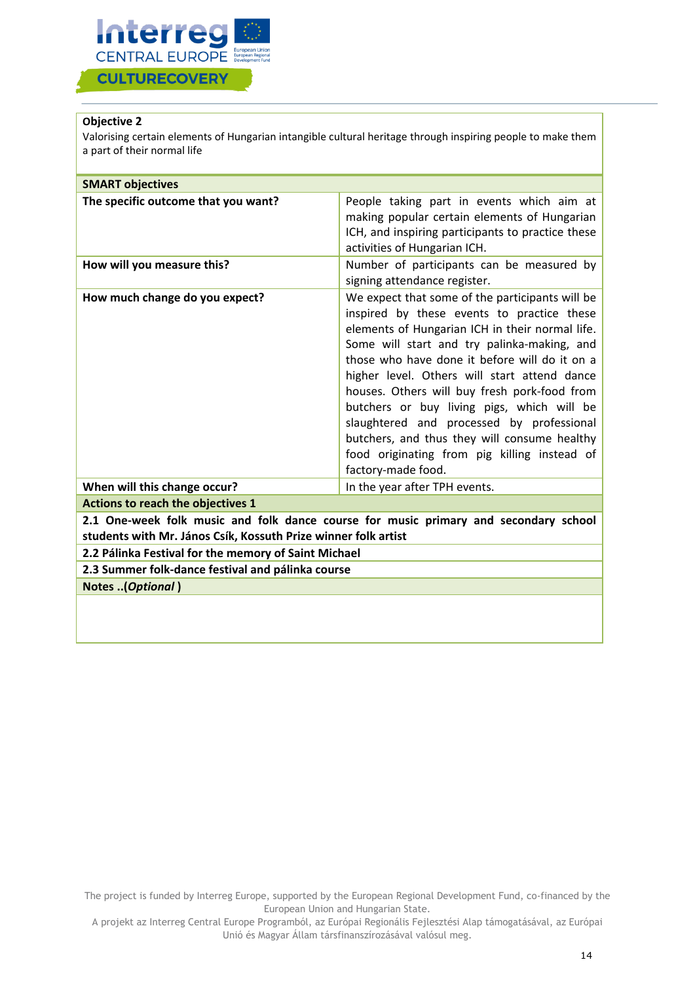

### **Objective 2**

Valorising certain elements of Hungarian intangible cultural heritage through inspiring people to make them a part of their normal life

| <b>SMART objectives</b>                                                                                                                                |                                                                                                                                                                                                                                                                                                                                                                                                                                                                                                                                                                   |
|--------------------------------------------------------------------------------------------------------------------------------------------------------|-------------------------------------------------------------------------------------------------------------------------------------------------------------------------------------------------------------------------------------------------------------------------------------------------------------------------------------------------------------------------------------------------------------------------------------------------------------------------------------------------------------------------------------------------------------------|
| The specific outcome that you want?                                                                                                                    | People taking part in events which aim at<br>making popular certain elements of Hungarian<br>ICH, and inspiring participants to practice these<br>activities of Hungarian ICH.                                                                                                                                                                                                                                                                                                                                                                                    |
| How will you measure this?                                                                                                                             | Number of participants can be measured by<br>signing attendance register.                                                                                                                                                                                                                                                                                                                                                                                                                                                                                         |
| How much change do you expect?                                                                                                                         | We expect that some of the participants will be<br>inspired by these events to practice these<br>elements of Hungarian ICH in their normal life.<br>Some will start and try palinka-making, and<br>those who have done it before will do it on a<br>higher level. Others will start attend dance<br>houses. Others will buy fresh pork-food from<br>butchers or buy living pigs, which will be<br>slaughtered and processed by professional<br>butchers, and thus they will consume healthy<br>food originating from pig killing instead of<br>factory-made food. |
| When will this change occur?                                                                                                                           | In the year after TPH events.                                                                                                                                                                                                                                                                                                                                                                                                                                                                                                                                     |
| <b>Actions to reach the objectives 1</b>                                                                                                               |                                                                                                                                                                                                                                                                                                                                                                                                                                                                                                                                                                   |
| 2.1 One-week folk music and folk dance course for music primary and secondary school<br>students with Mr. János Csík, Kossuth Prize winner folk artist |                                                                                                                                                                                                                                                                                                                                                                                                                                                                                                                                                                   |
| 2.2 Pálinka Festival for the memory of Saint Michael                                                                                                   |                                                                                                                                                                                                                                                                                                                                                                                                                                                                                                                                                                   |
| 2.3 Summer folk-dance festival and pálinka course                                                                                                      |                                                                                                                                                                                                                                                                                                                                                                                                                                                                                                                                                                   |
| <b>Notes (Optional)</b>                                                                                                                                |                                                                                                                                                                                                                                                                                                                                                                                                                                                                                                                                                                   |
|                                                                                                                                                        |                                                                                                                                                                                                                                                                                                                                                                                                                                                                                                                                                                   |

The project is funded by Interreg Europe, supported by the European Regional Development Fund, co-financed by the European Union and Hungarian State.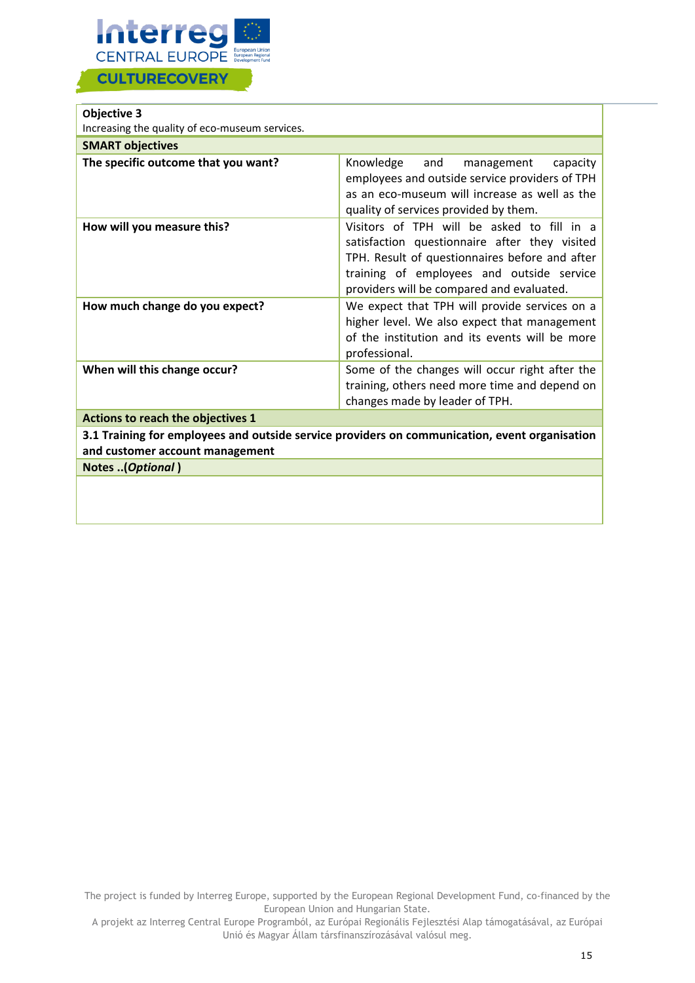

| Objective 3                                                                                                                      |                                                                                                                                                                                                                                         |
|----------------------------------------------------------------------------------------------------------------------------------|-----------------------------------------------------------------------------------------------------------------------------------------------------------------------------------------------------------------------------------------|
| Increasing the quality of eco-museum services.                                                                                   |                                                                                                                                                                                                                                         |
| <b>SMART objectives</b>                                                                                                          |                                                                                                                                                                                                                                         |
| The specific outcome that you want?                                                                                              | Knowledge<br>and<br>capacity<br>management<br>employees and outside service providers of TPH<br>as an eco-museum will increase as well as the<br>quality of services provided by them.                                                  |
| How will you measure this?                                                                                                       | Visitors of TPH will be asked to fill in a<br>satisfaction questionnaire after they visited<br>TPH. Result of questionnaires before and after<br>training of employees and outside service<br>providers will be compared and evaluated. |
| How much change do you expect?                                                                                                   | We expect that TPH will provide services on a<br>higher level. We also expect that management<br>of the institution and its events will be more<br>professional.                                                                        |
| When will this change occur?                                                                                                     | Some of the changes will occur right after the<br>training, others need more time and depend on<br>changes made by leader of TPH.                                                                                                       |
| Actions to reach the objectives 1                                                                                                |                                                                                                                                                                                                                                         |
| 3.1 Training for employees and outside service providers on communication, event organisation<br>and customer account management |                                                                                                                                                                                                                                         |
| Notes (Optional)                                                                                                                 |                                                                                                                                                                                                                                         |
|                                                                                                                                  |                                                                                                                                                                                                                                         |

The project is funded by Interreg Europe, supported by the European Regional Development Fund, co-financed by the European Union and Hungarian State.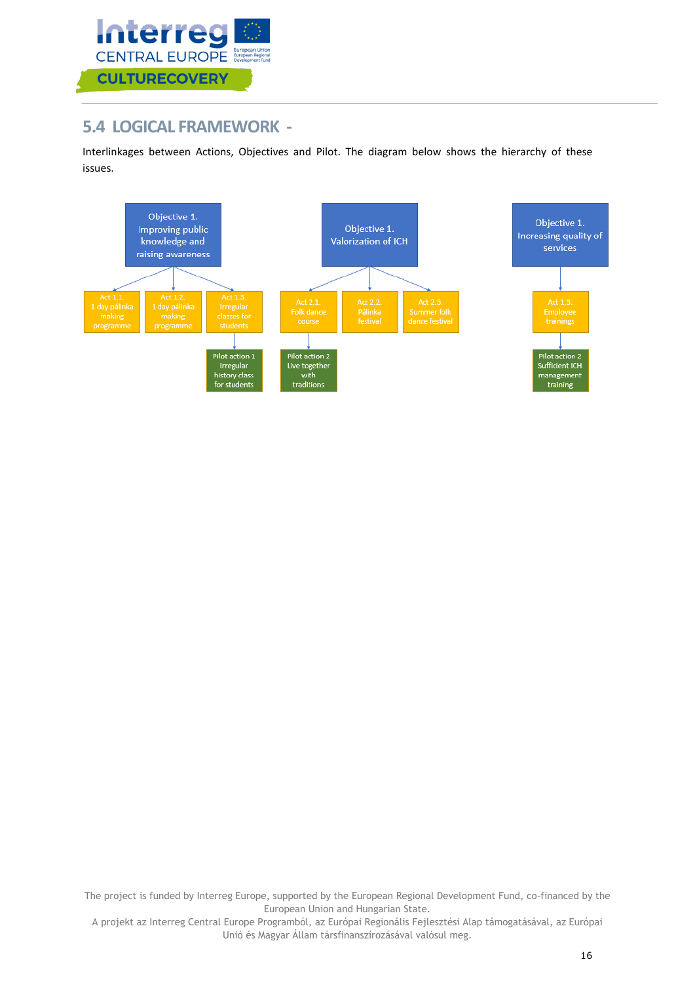

## <span id="page-16-0"></span>**5.4 LOGICAL FRAMEWORK -**

Interlinkages between Actions, Objectives and Pilot. The diagram below shows the hierarchy of these issues.



The project is funded by Interreg Europe, supported by the European Regional Development Fund, co-financed by the European Union and Hungarian State.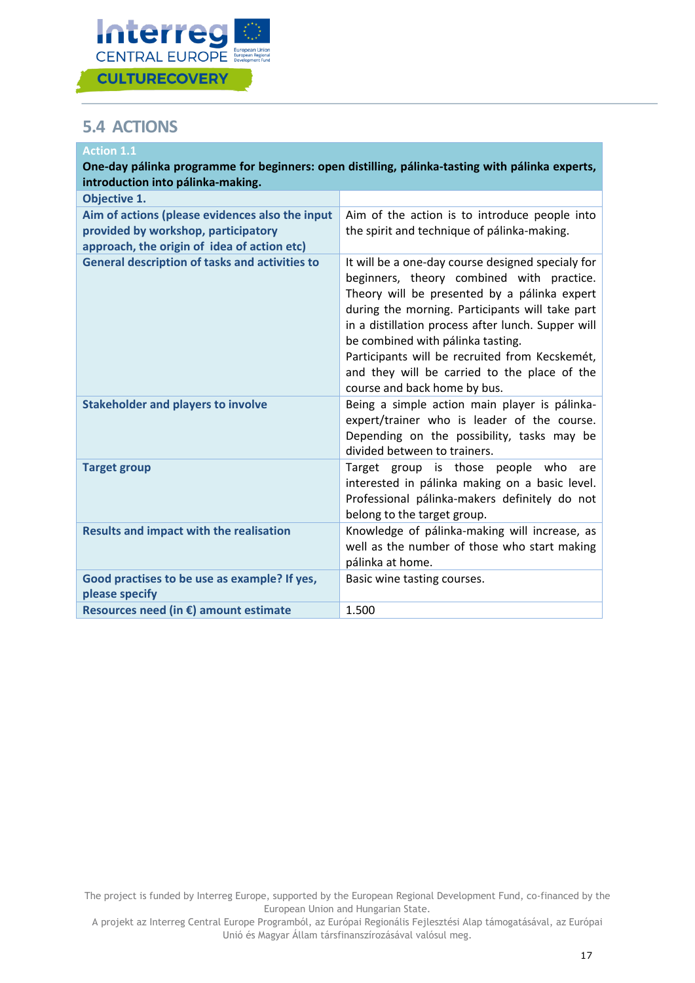

## <span id="page-17-0"></span>**5.4 ACTIONS**

| <b>Action 1.1</b>                                                                               |                                                                                                                                                                                                                                                                                                                                                                                                                                |
|-------------------------------------------------------------------------------------------------|--------------------------------------------------------------------------------------------------------------------------------------------------------------------------------------------------------------------------------------------------------------------------------------------------------------------------------------------------------------------------------------------------------------------------------|
| One-day pálinka programme for beginners: open distilling, pálinka-tasting with pálinka experts, |                                                                                                                                                                                                                                                                                                                                                                                                                                |
| introduction into pálinka-making.<br>Objective 1.                                               |                                                                                                                                                                                                                                                                                                                                                                                                                                |
| Aim of actions (please evidences also the input                                                 | Aim of the action is to introduce people into                                                                                                                                                                                                                                                                                                                                                                                  |
| provided by workshop, participatory<br>approach, the origin of idea of action etc)              | the spirit and technique of pálinka-making.                                                                                                                                                                                                                                                                                                                                                                                    |
| <b>General description of tasks and activities to</b>                                           | It will be a one-day course designed specialy for<br>beginners, theory combined with practice.<br>Theory will be presented by a pálinka expert<br>during the morning. Participants will take part<br>in a distillation process after lunch. Supper will<br>be combined with pálinka tasting.<br>Participants will be recruited from Kecskemét,<br>and they will be carried to the place of the<br>course and back home by bus. |
| <b>Stakeholder and players to involve</b>                                                       | Being a simple action main player is pálinka-<br>expert/trainer who is leader of the course.<br>Depending on the possibility, tasks may be<br>divided between to trainers.                                                                                                                                                                                                                                                     |
| <b>Target group</b>                                                                             | Target group is those people who<br>are<br>interested in pálinka making on a basic level.<br>Professional pálinka-makers definitely do not<br>belong to the target group.                                                                                                                                                                                                                                                      |
| <b>Results and impact with the realisation</b>                                                  | Knowledge of pálinka-making will increase, as<br>well as the number of those who start making<br>pálinka at home.                                                                                                                                                                                                                                                                                                              |
| Good practises to be use as example? If yes,<br>please specify                                  | Basic wine tasting courses.                                                                                                                                                                                                                                                                                                                                                                                                    |
| Resources need (in €) amount estimate                                                           | 1.500                                                                                                                                                                                                                                                                                                                                                                                                                          |

The project is funded by Interreg Europe, supported by the European Regional Development Fund, co-financed by the European Union and Hungarian State.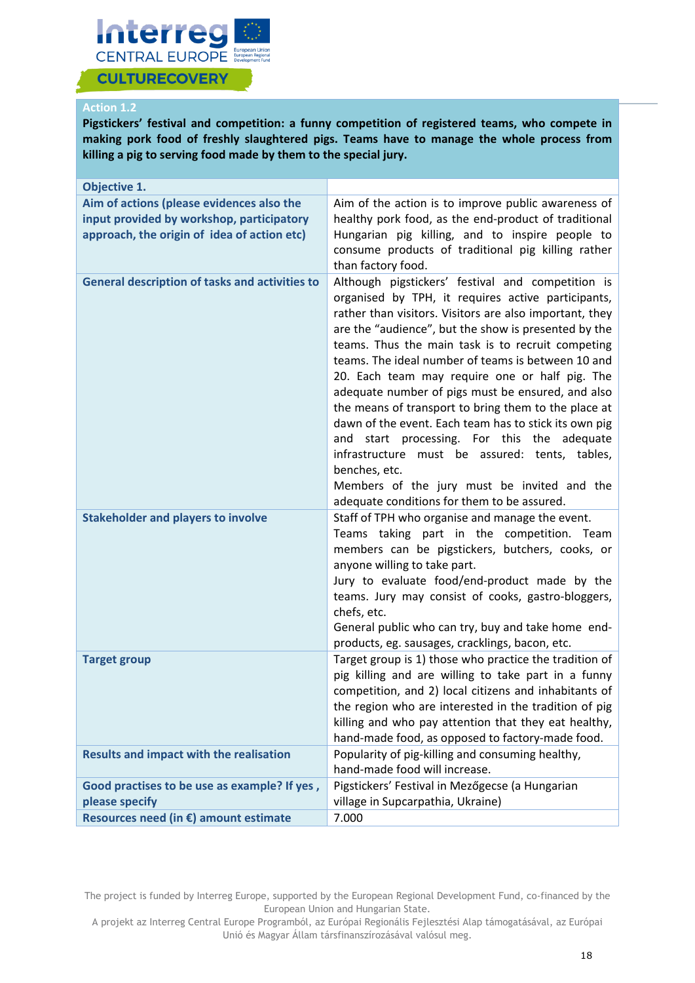

#### **Action 1.2**

**Pigstickers' festival and competition: a funny competition of registered teams, who compete in making pork food of freshly slaughtered pigs. Teams have to manage the whole process from killing a pig to serving food made by them to the special jury.**

| Objective 1.                                                                                                                          |                                                                                                                                                                                                                                                                                                                                                                                                                                                                                                                                                                                                                                                                                                                                                                               |
|---------------------------------------------------------------------------------------------------------------------------------------|-------------------------------------------------------------------------------------------------------------------------------------------------------------------------------------------------------------------------------------------------------------------------------------------------------------------------------------------------------------------------------------------------------------------------------------------------------------------------------------------------------------------------------------------------------------------------------------------------------------------------------------------------------------------------------------------------------------------------------------------------------------------------------|
| Aim of actions (please evidences also the<br>input provided by workshop, participatory<br>approach, the origin of idea of action etc) | Aim of the action is to improve public awareness of<br>healthy pork food, as the end-product of traditional<br>Hungarian pig killing, and to inspire people to<br>consume products of traditional pig killing rather<br>than factory food.                                                                                                                                                                                                                                                                                                                                                                                                                                                                                                                                    |
| <b>General description of tasks and activities to</b>                                                                                 | Although pigstickers' festival and competition is<br>organised by TPH, it requires active participants,<br>rather than visitors. Visitors are also important, they<br>are the "audience", but the show is presented by the<br>teams. Thus the main task is to recruit competing<br>teams. The ideal number of teams is between 10 and<br>20. Each team may require one or half pig. The<br>adequate number of pigs must be ensured, and also<br>the means of transport to bring them to the place at<br>dawn of the event. Each team has to stick its own pig<br>and start processing. For this the adequate<br>infrastructure must be assured: tents, tables,<br>benches, etc.<br>Members of the jury must be invited and the<br>adequate conditions for them to be assured. |
| <b>Stakeholder and players to involve</b>                                                                                             | Staff of TPH who organise and manage the event.<br>Teams taking part in the competition. Team<br>members can be pigstickers, butchers, cooks, or<br>anyone willing to take part.<br>Jury to evaluate food/end-product made by the<br>teams. Jury may consist of cooks, gastro-bloggers,<br>chefs, etc.<br>General public who can try, buy and take home end-<br>products, eg. sausages, cracklings, bacon, etc.                                                                                                                                                                                                                                                                                                                                                               |
| <b>Target group</b>                                                                                                                   | Target group is 1) those who practice the tradition of<br>pig killing and are willing to take part in a funny<br>competition, and 2) local citizens and inhabitants of<br>the region who are interested in the tradition of pig<br>killing and who pay attention that they eat healthy,<br>hand-made food, as opposed to factory-made food.                                                                                                                                                                                                                                                                                                                                                                                                                                   |
| <b>Results and impact with the realisation</b>                                                                                        | Popularity of pig-killing and consuming healthy,<br>hand-made food will increase.                                                                                                                                                                                                                                                                                                                                                                                                                                                                                                                                                                                                                                                                                             |
| Good practises to be use as example? If yes,<br>please specify                                                                        | Pigstickers' Festival in Mezőgecse (a Hungarian<br>village in Supcarpathia, Ukraine)                                                                                                                                                                                                                                                                                                                                                                                                                                                                                                                                                                                                                                                                                          |
| Resources need (in €) amount estimate                                                                                                 | 7.000                                                                                                                                                                                                                                                                                                                                                                                                                                                                                                                                                                                                                                                                                                                                                                         |

The project is funded by Interreg Europe, supported by the European Regional Development Fund, co-financed by the European Union and Hungarian State.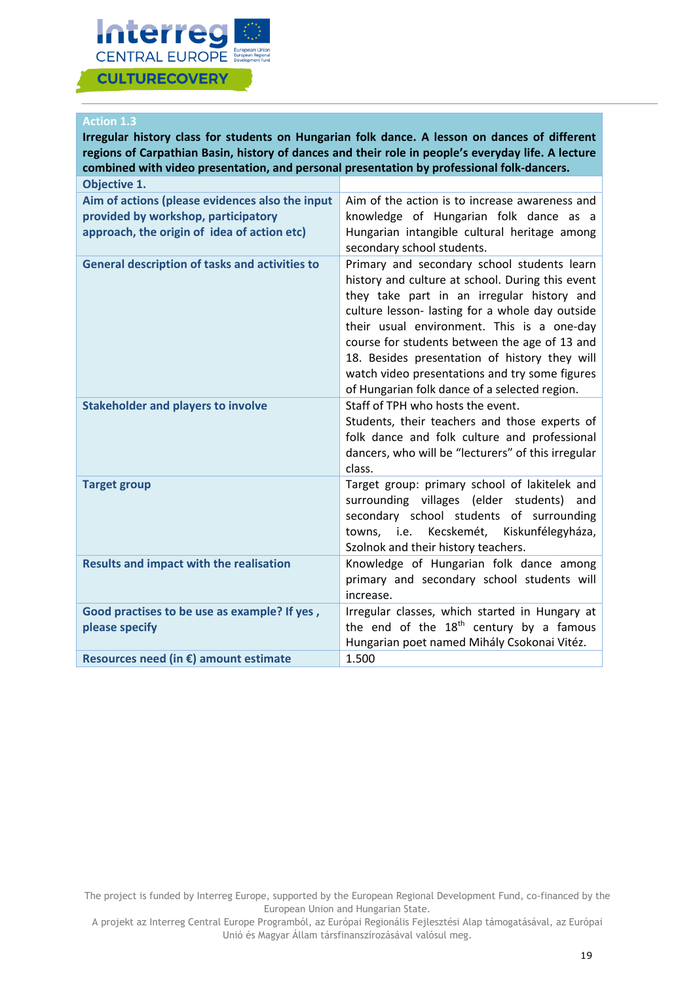

#### **Action 1.3**

| Irregular history class for students on Hungarian folk dance. A lesson on dances of different<br>regions of Carpathian Basin, history of dances and their role in people's everyday life. A lecture<br>combined with video presentation, and personal presentation by professional folk-dancers. |                                                                                                                                                                                                                                                                                                                                                                                                                                                     |
|--------------------------------------------------------------------------------------------------------------------------------------------------------------------------------------------------------------------------------------------------------------------------------------------------|-----------------------------------------------------------------------------------------------------------------------------------------------------------------------------------------------------------------------------------------------------------------------------------------------------------------------------------------------------------------------------------------------------------------------------------------------------|
| <b>Objective 1.</b>                                                                                                                                                                                                                                                                              |                                                                                                                                                                                                                                                                                                                                                                                                                                                     |
| Aim of actions (please evidences also the input<br>provided by workshop, participatory<br>approach, the origin of idea of action etc)                                                                                                                                                            | Aim of the action is to increase awareness and<br>knowledge of Hungarian folk dance as a<br>Hungarian intangible cultural heritage among<br>secondary school students.                                                                                                                                                                                                                                                                              |
| <b>General description of tasks and activities to</b>                                                                                                                                                                                                                                            | Primary and secondary school students learn<br>history and culture at school. During this event<br>they take part in an irregular history and<br>culture lesson- lasting for a whole day outside<br>their usual environment. This is a one-day<br>course for students between the age of 13 and<br>18. Besides presentation of history they will<br>watch video presentations and try some figures<br>of Hungarian folk dance of a selected region. |
| <b>Stakeholder and players to involve</b>                                                                                                                                                                                                                                                        | Staff of TPH who hosts the event.<br>Students, their teachers and those experts of<br>folk dance and folk culture and professional<br>dancers, who will be "lecturers" of this irregular<br>class.                                                                                                                                                                                                                                                  |
| <b>Target group</b>                                                                                                                                                                                                                                                                              | Target group: primary school of lakitelek and<br>surrounding villages (elder students)<br>and<br>secondary school students of surrounding<br>Kecskemét,<br>Kiskunfélegyháza,<br>towns, i.e.<br>Szolnok and their history teachers.                                                                                                                                                                                                                  |
| <b>Results and impact with the realisation</b>                                                                                                                                                                                                                                                   | Knowledge of Hungarian folk dance among<br>primary and secondary school students will<br>increase.                                                                                                                                                                                                                                                                                                                                                  |
| Good practises to be use as example? If yes,<br>please specify                                                                                                                                                                                                                                   | Irregular classes, which started in Hungary at<br>the end of the $18th$ century by a famous<br>Hungarian poet named Mihály Csokonai Vitéz.                                                                                                                                                                                                                                                                                                          |
| Resources need (in €) amount estimate                                                                                                                                                                                                                                                            | 1.500                                                                                                                                                                                                                                                                                                                                                                                                                                               |

The project is funded by Interreg Europe, supported by the European Regional Development Fund, co-financed by the European Union and Hungarian State.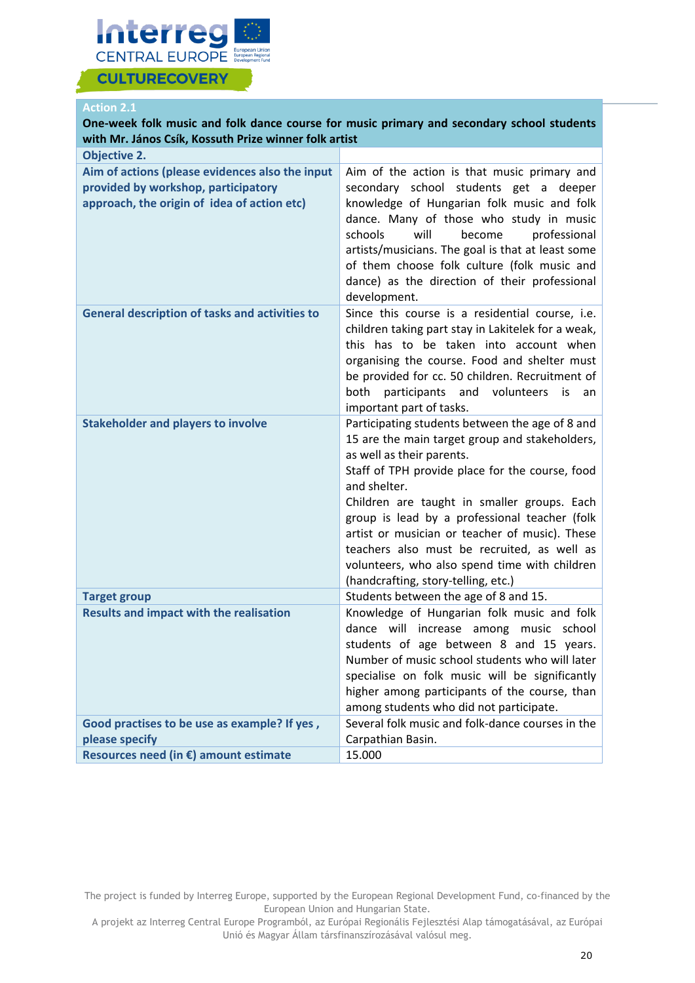

#### **Action 2.1**

| One-week folk music and folk dance course for music primary and secondary school students<br>with Mr. János Csík, Kossuth Prize winner folk artist |                                                                                                                                                                                                                                                                                                                                                                                                                                                                                            |  |
|----------------------------------------------------------------------------------------------------------------------------------------------------|--------------------------------------------------------------------------------------------------------------------------------------------------------------------------------------------------------------------------------------------------------------------------------------------------------------------------------------------------------------------------------------------------------------------------------------------------------------------------------------------|--|
| <b>Objective 2.</b>                                                                                                                                |                                                                                                                                                                                                                                                                                                                                                                                                                                                                                            |  |
| Aim of actions (please evidences also the input<br>provided by workshop, participatory<br>approach, the origin of idea of action etc)              | Aim of the action is that music primary and<br>secondary school students get a deeper<br>knowledge of Hungarian folk music and folk<br>dance. Many of those who study in music<br>will<br>schools<br>become<br>professional<br>artists/musicians. The goal is that at least some<br>of them choose folk culture (folk music and<br>dance) as the direction of their professional<br>development.                                                                                           |  |
| <b>General description of tasks and activities to</b>                                                                                              | Since this course is a residential course, i.e.<br>children taking part stay in Lakitelek for a weak,<br>this has to be taken into account when<br>organising the course. Food and shelter must<br>be provided for cc. 50 children. Recruitment of<br>participants and volunteers<br>both<br>is<br>an<br>important part of tasks.                                                                                                                                                          |  |
| <b>Stakeholder and players to involve</b>                                                                                                          | Participating students between the age of 8 and<br>15 are the main target group and stakeholders,<br>as well as their parents.<br>Staff of TPH provide place for the course, food<br>and shelter.<br>Children are taught in smaller groups. Each<br>group is lead by a professional teacher (folk<br>artist or musician or teacher of music). These<br>teachers also must be recruited, as well as<br>volunteers, who also spend time with children<br>(handcrafting, story-telling, etc.) |  |
| <b>Target group</b>                                                                                                                                | Students between the age of 8 and 15.                                                                                                                                                                                                                                                                                                                                                                                                                                                      |  |
| <b>Results and impact with the realisation</b>                                                                                                     | Knowledge of Hungarian folk music and folk<br>dance will increase among music school<br>students of age between 8 and 15 years.<br>Number of music school students who will later<br>specialise on folk music will be significantly<br>higher among participants of the course, than<br>among students who did not participate.                                                                                                                                                            |  |
| Good practises to be use as example? If yes,                                                                                                       | Several folk music and folk-dance courses in the                                                                                                                                                                                                                                                                                                                                                                                                                                           |  |
| please specify                                                                                                                                     | Carpathian Basin.                                                                                                                                                                                                                                                                                                                                                                                                                                                                          |  |
| Resources need (in €) amount estimate                                                                                                              | 15.000                                                                                                                                                                                                                                                                                                                                                                                                                                                                                     |  |

The project is funded by Interreg Europe, supported by the European Regional Development Fund, co-financed by the European Union and Hungarian State.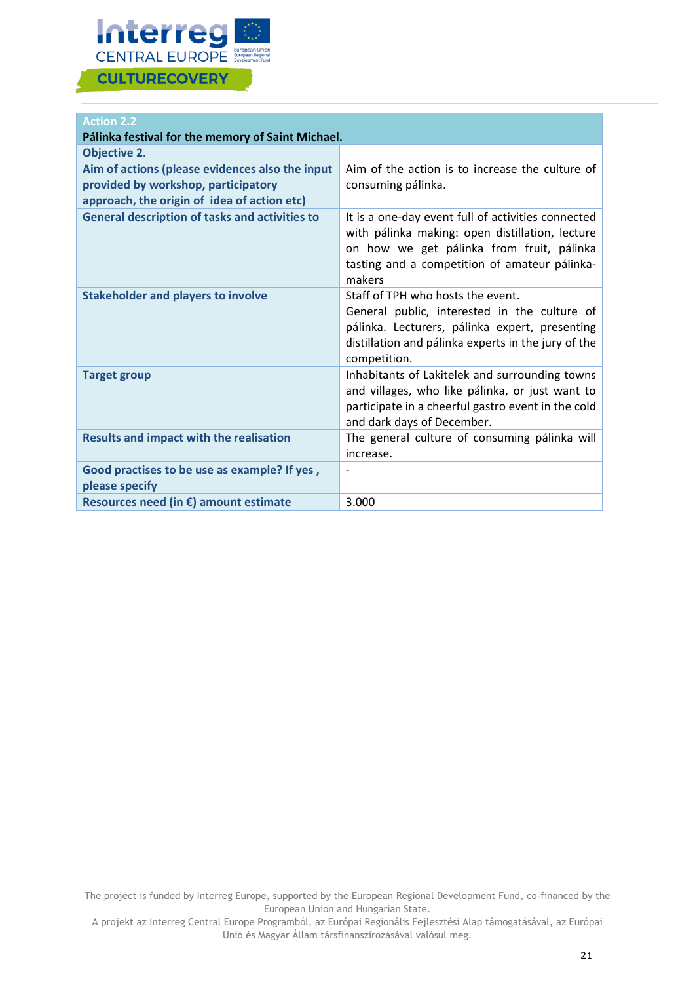

### **Action 2.2**

| Pálinka festival for the memory of Saint Michael.                                                                                     |                                                                                                                                                                                                               |
|---------------------------------------------------------------------------------------------------------------------------------------|---------------------------------------------------------------------------------------------------------------------------------------------------------------------------------------------------------------|
| <b>Objective 2.</b>                                                                                                                   |                                                                                                                                                                                                               |
| Aim of actions (please evidences also the input<br>provided by workshop, participatory<br>approach, the origin of idea of action etc) | Aim of the action is to increase the culture of<br>consuming pálinka.                                                                                                                                         |
| <b>General description of tasks and activities to</b>                                                                                 | It is a one-day event full of activities connected<br>with pálinka making: open distillation, lecture<br>on how we get pálinka from fruit, pálinka<br>tasting and a competition of amateur pálinka-<br>makers |
| <b>Stakeholder and players to involve</b>                                                                                             | Staff of TPH who hosts the event.<br>General public, interested in the culture of<br>pálinka. Lecturers, pálinka expert, presenting<br>distillation and pálinka experts in the jury of the<br>competition.    |
| <b>Target group</b>                                                                                                                   | Inhabitants of Lakitelek and surrounding towns<br>and villages, who like pálinka, or just want to<br>participate in a cheerful gastro event in the cold<br>and dark days of December.                         |
| <b>Results and impact with the realisation</b>                                                                                        | The general culture of consuming pálinka will<br>increase.                                                                                                                                                    |
| Good practises to be use as example? If yes,<br>please specify                                                                        |                                                                                                                                                                                                               |
| Resources need (in €) amount estimate                                                                                                 | 3.000                                                                                                                                                                                                         |

The project is funded by Interreg Europe, supported by the European Regional Development Fund, co-financed by the European Union and Hungarian State.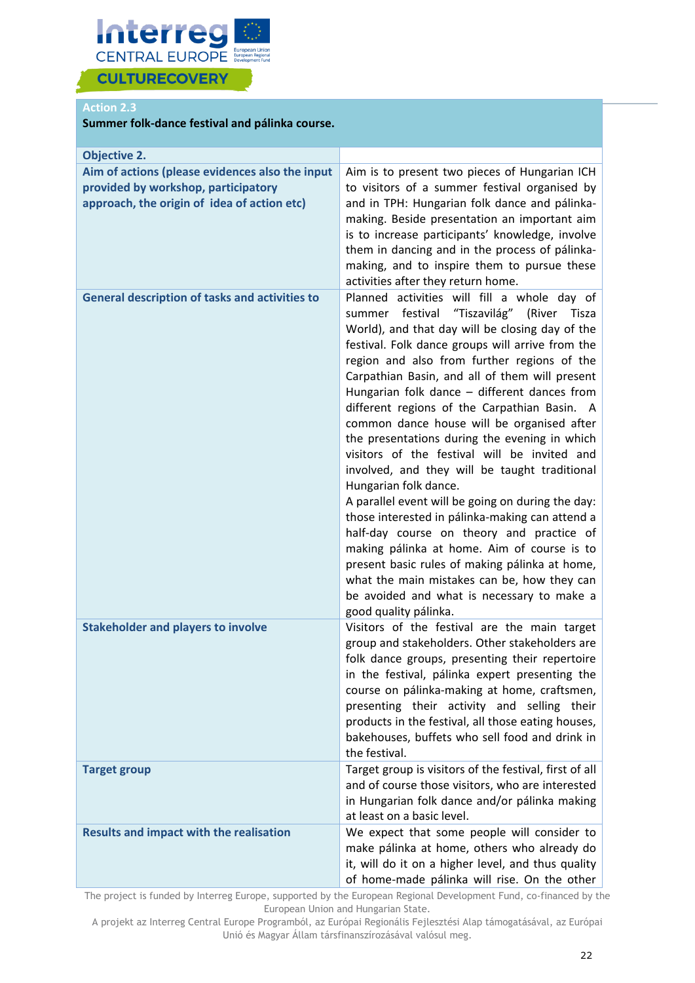

### **Action 2.3**

#### **Summer folk-dance festival and pálinka course.**

| <b>Objective 2.</b>                                                                                                                   |                                                                                                                                                                                                                                                                                                                                                                                                                                                                                                                                                                                                                                                                                                                                                                                                                                                                                                                                                                                                             |
|---------------------------------------------------------------------------------------------------------------------------------------|-------------------------------------------------------------------------------------------------------------------------------------------------------------------------------------------------------------------------------------------------------------------------------------------------------------------------------------------------------------------------------------------------------------------------------------------------------------------------------------------------------------------------------------------------------------------------------------------------------------------------------------------------------------------------------------------------------------------------------------------------------------------------------------------------------------------------------------------------------------------------------------------------------------------------------------------------------------------------------------------------------------|
| Aim of actions (please evidences also the input<br>provided by workshop, participatory<br>approach, the origin of idea of action etc) | Aim is to present two pieces of Hungarian ICH<br>to visitors of a summer festival organised by<br>and in TPH: Hungarian folk dance and pálinka-<br>making. Beside presentation an important aim<br>is to increase participants' knowledge, involve<br>them in dancing and in the process of pálinka-                                                                                                                                                                                                                                                                                                                                                                                                                                                                                                                                                                                                                                                                                                        |
|                                                                                                                                       | making, and to inspire them to pursue these<br>activities after they return home.                                                                                                                                                                                                                                                                                                                                                                                                                                                                                                                                                                                                                                                                                                                                                                                                                                                                                                                           |
| <b>General description of tasks and activities to</b>                                                                                 | Planned activities will fill a whole day of<br>festival "Tiszavilág" (River<br>Tisza<br>summer<br>World), and that day will be closing day of the<br>festival. Folk dance groups will arrive from the<br>region and also from further regions of the<br>Carpathian Basin, and all of them will present<br>Hungarian folk dance - different dances from<br>different regions of the Carpathian Basin. A<br>common dance house will be organised after<br>the presentations during the evening in which<br>visitors of the festival will be invited and<br>involved, and they will be taught traditional<br>Hungarian folk dance.<br>A parallel event will be going on during the day:<br>those interested in pálinka-making can attend a<br>half-day course on theory and practice of<br>making pálinka at home. Aim of course is to<br>present basic rules of making pálinka at home,<br>what the main mistakes can be, how they can<br>be avoided and what is necessary to make a<br>good quality pálinka. |
| <b>Stakeholder and players to involve</b>                                                                                             | Visitors of the festival are the main target<br>group and stakeholders. Other stakeholders are<br>folk dance groups, presenting their repertoire<br>in the festival, pálinka expert presenting the<br>course on pálinka-making at home, craftsmen,<br>presenting their activity and selling their<br>products in the festival, all those eating houses,<br>bakehouses, buffets who sell food and drink in<br>the festival.                                                                                                                                                                                                                                                                                                                                                                                                                                                                                                                                                                                  |
| <b>Target group</b>                                                                                                                   | Target group is visitors of the festival, first of all<br>and of course those visitors, who are interested<br>in Hungarian folk dance and/or pálinka making<br>at least on a basic level.                                                                                                                                                                                                                                                                                                                                                                                                                                                                                                                                                                                                                                                                                                                                                                                                                   |
| <b>Results and impact with the realisation</b>                                                                                        | We expect that some people will consider to<br>make pálinka at home, others who already do<br>it, will do it on a higher level, and thus quality<br>of home-made pálinka will rise. On the other                                                                                                                                                                                                                                                                                                                                                                                                                                                                                                                                                                                                                                                                                                                                                                                                            |

The project is funded by Interreg Europe, supported by the European Regional Development Fund, co-financed by the European Union and Hungarian State.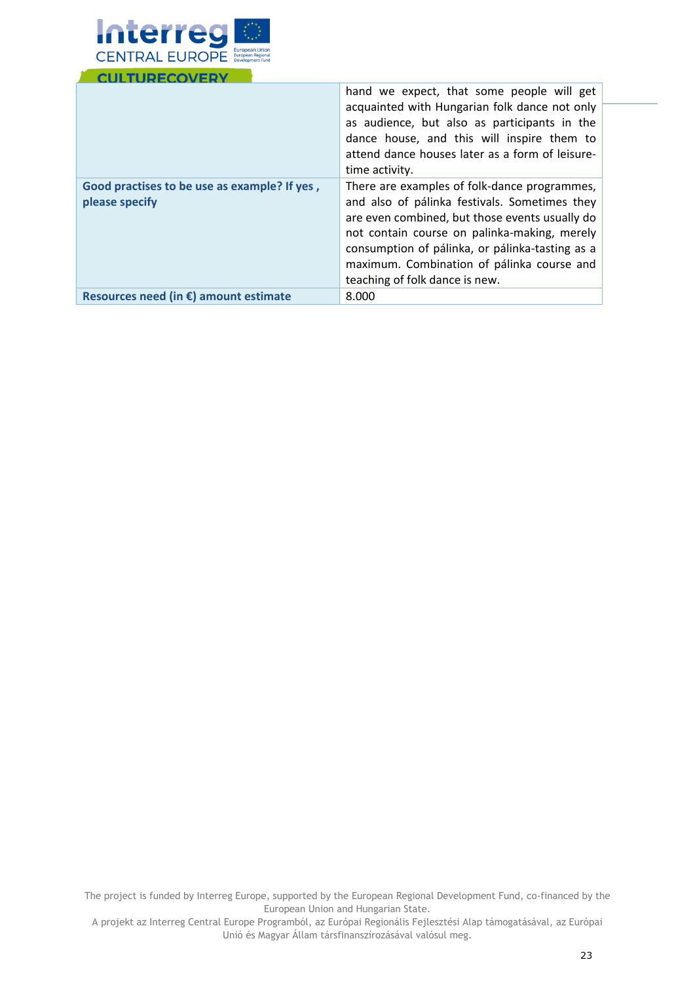

|                                                                | hand we expect, that some people will get<br>acquainted with Hungarian folk dance not only<br>as audience, but also as participants in the<br>dance house, and this will inspire them to<br>attend dance houses later as a form of leisure-<br>time activity.                                                                      |
|----------------------------------------------------------------|------------------------------------------------------------------------------------------------------------------------------------------------------------------------------------------------------------------------------------------------------------------------------------------------------------------------------------|
| Good practises to be use as example? If yes,<br>please specify | There are examples of folk-dance programmes,<br>and also of pálinka festivals. Sometimes they<br>are even combined, but those events usually do<br>not contain course on palinka-making, merely<br>consumption of pálinka, or pálinka-tasting as a<br>maximum. Combination of pálinka course and<br>teaching of folk dance is new. |
| Resources need (in $\epsilon$ ) amount estimate                | 8.000                                                                                                                                                                                                                                                                                                                              |

The project is funded by Interreg Europe, supported by the European Regional Development Fund, co-financed by the European Union and Hungarian State.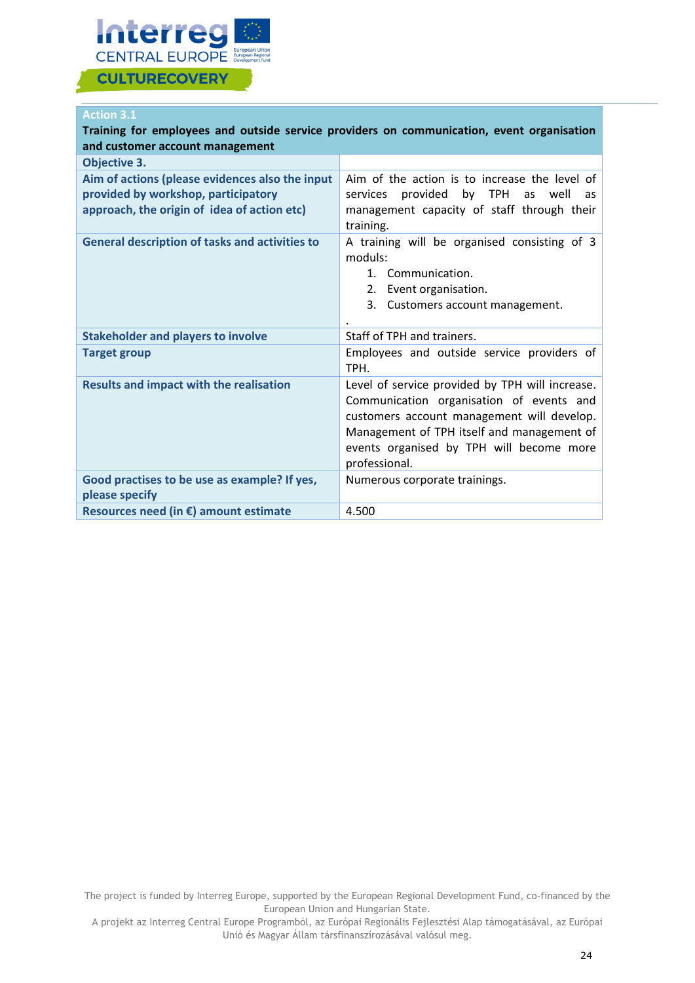

### **Action 3.1**

| and customer account management                                                                                                       | Training for employees and outside service providers on communication, event organisation                                                                                                                                                            |
|---------------------------------------------------------------------------------------------------------------------------------------|------------------------------------------------------------------------------------------------------------------------------------------------------------------------------------------------------------------------------------------------------|
| <b>Objective 3.</b>                                                                                                                   |                                                                                                                                                                                                                                                      |
| Aim of actions (please evidences also the input<br>provided by workshop, participatory<br>approach, the origin of idea of action etc) | Aim of the action is to increase the level of<br>provided by TPH<br>services<br>as well<br>as<br>management capacity of staff through their<br>training.                                                                                             |
| <b>General description of tasks and activities to</b>                                                                                 | A training will be organised consisting of 3<br>moduls:<br>1. Communication.<br>2. Event organisation.<br>3.<br>Customers account management.                                                                                                        |
| <b>Stakeholder and players to involve</b>                                                                                             | Staff of TPH and trainers.                                                                                                                                                                                                                           |
| <b>Target group</b>                                                                                                                   | Employees and outside service providers of<br>TPH.                                                                                                                                                                                                   |
| <b>Results and impact with the realisation</b>                                                                                        | Level of service provided by TPH will increase.<br>Communication organisation of events and<br>customers account management will develop.<br>Management of TPH itself and management of<br>events organised by TPH will become more<br>professional. |
| Good practises to be use as example? If yes,<br>please specify                                                                        | Numerous corporate trainings.                                                                                                                                                                                                                        |
| Resources need (in $\epsilon$ ) amount estimate                                                                                       | 4.500                                                                                                                                                                                                                                                |

The project is funded by Interreg Europe, supported by the European Regional Development Fund, co-financed by the European Union and Hungarian State.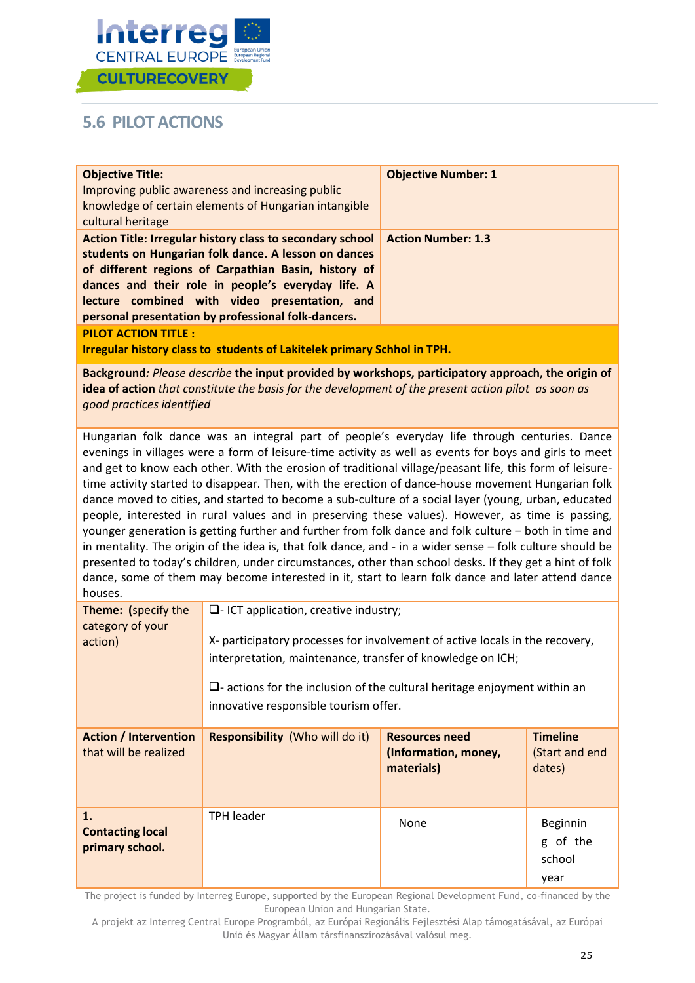

## <span id="page-25-0"></span>**5.6 PILOT ACTIONS**

| <b>Objective Title:</b><br>cultural heritage                                                                                                                                                                                                                                                                                                                                                                                                                                                                                                                                                                                                                                                                                                                                                                                                                                                                                                                                                                                                                              | Improving public awareness and increasing public<br>knowledge of certain elements of Hungarian intangible                                                                                                                                                                                                                               | <b>Objective Number: 1</b>                                  |                                             |  |
|---------------------------------------------------------------------------------------------------------------------------------------------------------------------------------------------------------------------------------------------------------------------------------------------------------------------------------------------------------------------------------------------------------------------------------------------------------------------------------------------------------------------------------------------------------------------------------------------------------------------------------------------------------------------------------------------------------------------------------------------------------------------------------------------------------------------------------------------------------------------------------------------------------------------------------------------------------------------------------------------------------------------------------------------------------------------------|-----------------------------------------------------------------------------------------------------------------------------------------------------------------------------------------------------------------------------------------------------------------------------------------------------------------------------------------|-------------------------------------------------------------|---------------------------------------------|--|
|                                                                                                                                                                                                                                                                                                                                                                                                                                                                                                                                                                                                                                                                                                                                                                                                                                                                                                                                                                                                                                                                           | Action Title: Irregular history class to secondary school<br>students on Hungarian folk dance. A lesson on dances<br>of different regions of Carpathian Basin, history of<br>dances and their role in people's everyday life. A<br>lecture combined with video presentation, and<br>personal presentation by professional folk-dancers. | <b>Action Number: 1.3</b>                                   |                                             |  |
| <b>PILOT ACTION TITLE:</b>                                                                                                                                                                                                                                                                                                                                                                                                                                                                                                                                                                                                                                                                                                                                                                                                                                                                                                                                                                                                                                                | <b>Irregular history class to students of Lakitelek primary Schhol in TPH.</b>                                                                                                                                                                                                                                                          |                                                             |                                             |  |
| good practices identified                                                                                                                                                                                                                                                                                                                                                                                                                                                                                                                                                                                                                                                                                                                                                                                                                                                                                                                                                                                                                                                 | Background: Please describe the input provided by workshops, participatory approach, the origin of<br>idea of action that constitute the basis for the development of the present action pilot as soon as                                                                                                                               |                                                             |                                             |  |
| Hungarian folk dance was an integral part of people's everyday life through centuries. Dance<br>evenings in villages were a form of leisure-time activity as well as events for boys and girls to meet<br>and get to know each other. With the erosion of traditional village/peasant life, this form of leisure-<br>time activity started to disappear. Then, with the erection of dance-house movement Hungarian folk<br>dance moved to cities, and started to become a sub-culture of a social layer (young, urban, educated<br>people, interested in rural values and in preserving these values). However, as time is passing,<br>younger generation is getting further and further from folk dance and folk culture - both in time and<br>in mentality. The origin of the idea is, that folk dance, and - in a wider sense - folk culture should be<br>presented to today's children, under circumstances, other than school desks. If they get a hint of folk<br>dance, some of them may become interested in it, start to learn folk dance and later attend dance |                                                                                                                                                                                                                                                                                                                                         |                                                             |                                             |  |
| Theme: (specify the<br>category of your<br>action)                                                                                                                                                                                                                                                                                                                                                                                                                                                                                                                                                                                                                                                                                                                                                                                                                                                                                                                                                                                                                        | $\Box$ - ICT application, creative industry;<br>X- participatory processes for involvement of active locals in the recovery,<br>interpretation, maintenance, transfer of knowledge on ICH;<br>$\square$ - actions for the inclusion of the cultural heritage enjoyment within an<br>innovative responsible tourism offer.               |                                                             |                                             |  |
| <b>Action / Intervention</b><br>that will be realized                                                                                                                                                                                                                                                                                                                                                                                                                                                                                                                                                                                                                                                                                                                                                                                                                                                                                                                                                                                                                     | Responsibility (Who will do it)                                                                                                                                                                                                                                                                                                         | <b>Resources need</b><br>(Information, money,<br>materials) | <b>Timeline</b><br>(Start and end<br>dates) |  |
| 1.<br><b>Contacting local</b><br>primary school.                                                                                                                                                                                                                                                                                                                                                                                                                                                                                                                                                                                                                                                                                                                                                                                                                                                                                                                                                                                                                          | <b>TPH leader</b>                                                                                                                                                                                                                                                                                                                       | None                                                        | Beginnin<br>g of the<br>school<br>year      |  |

The project is funded by Interreg Europe, supported by the European Regional Development Fund, co-financed by the European Union and Hungarian State.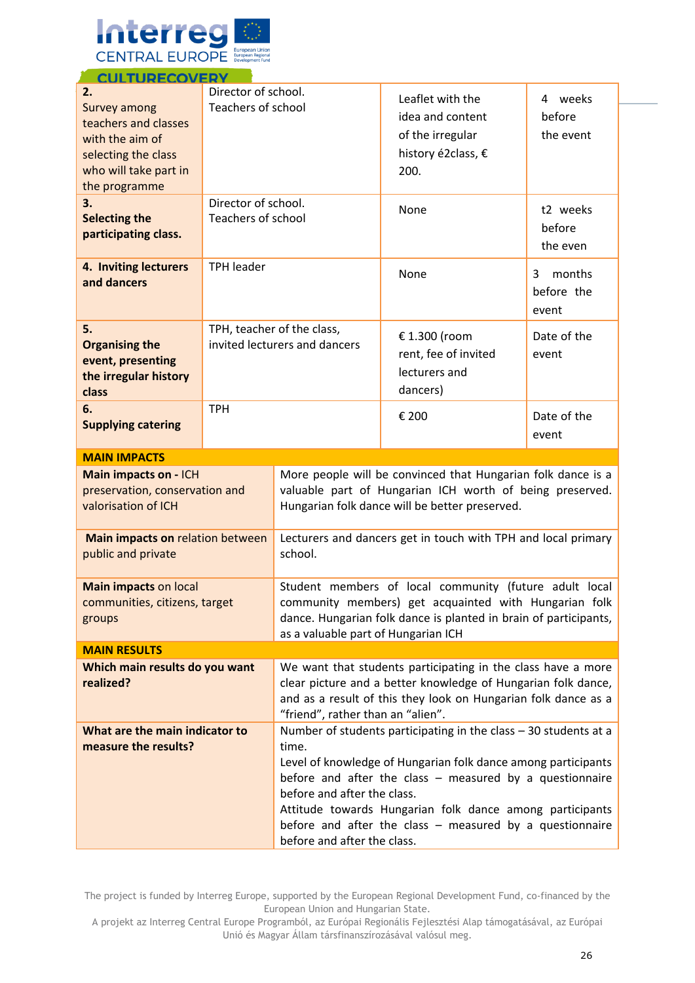

| <u>CULIURECUVE</u><br>2.<br><b>Survey among</b><br>teachers and classes<br>with the aim of<br>selecting the class<br>who will take part in<br>the programme | Director of school.<br>Teachers of school                   |                                                                                                                                                                                                                                                                                                                                                                                                   | Leaflet with the<br>idea and content<br>of the irregular<br>history é2class, €<br>200.                                                                                              | 4 weeks<br>before<br>the event     |  |
|-------------------------------------------------------------------------------------------------------------------------------------------------------------|-------------------------------------------------------------|---------------------------------------------------------------------------------------------------------------------------------------------------------------------------------------------------------------------------------------------------------------------------------------------------------------------------------------------------------------------------------------------------|-------------------------------------------------------------------------------------------------------------------------------------------------------------------------------------|------------------------------------|--|
| 3.<br><b>Selecting the</b><br>participating class.                                                                                                          | Director of school.<br><b>Teachers of school</b>            |                                                                                                                                                                                                                                                                                                                                                                                                   | None                                                                                                                                                                                | t2 weeks<br>before<br>the even     |  |
| 4. Inviting lecturers<br>and dancers                                                                                                                        | <b>TPH leader</b>                                           |                                                                                                                                                                                                                                                                                                                                                                                                   | None                                                                                                                                                                                | months<br>3<br>before the<br>event |  |
| 5.<br><b>Organising the</b><br>event, presenting<br>the irregular history<br>class                                                                          | TPH, teacher of the class,<br>invited lecturers and dancers |                                                                                                                                                                                                                                                                                                                                                                                                   | € 1.300 (room<br>rent, fee of invited<br>lecturers and<br>dancers)                                                                                                                  | Date of the<br>event               |  |
| 6.<br><b>Supplying catering</b>                                                                                                                             | <b>TPH</b>                                                  |                                                                                                                                                                                                                                                                                                                                                                                                   | € 200                                                                                                                                                                               | Date of the<br>event               |  |
| <b>MAIN IMPACTS</b>                                                                                                                                         |                                                             |                                                                                                                                                                                                                                                                                                                                                                                                   |                                                                                                                                                                                     |                                    |  |
| Main impacts on - ICH<br>valorisation of ICH                                                                                                                | preservation, conservation and                              |                                                                                                                                                                                                                                                                                                                                                                                                   | More people will be convinced that Hungarian folk dance is a<br>valuable part of Hungarian ICH worth of being preserved.<br>Hungarian folk dance will be better preserved.          |                                    |  |
| Main impacts on relation between<br>public and private                                                                                                      |                                                             | Lecturers and dancers get in touch with TPH and local primary<br>school.                                                                                                                                                                                                                                                                                                                          |                                                                                                                                                                                     |                                    |  |
| <b>Main impacts on local</b><br>communities, citizens, target<br>groups                                                                                     |                                                             | as a valuable part of Hungarian ICH                                                                                                                                                                                                                                                                                                                                                               | Student members of local community (future adult local<br>community members) get acquainted with Hungarian folk<br>dance. Hungarian folk dance is planted in brain of participants, |                                    |  |
| <b>MAIN RESULTS</b>                                                                                                                                         |                                                             |                                                                                                                                                                                                                                                                                                                                                                                                   |                                                                                                                                                                                     |                                    |  |
| Which main results do you want<br>realized?                                                                                                                 |                                                             | We want that students participating in the class have a more<br>clear picture and a better knowledge of Hungarian folk dance,<br>and as a result of this they look on Hungarian folk dance as a<br>"friend", rather than an "alien".                                                                                                                                                              |                                                                                                                                                                                     |                                    |  |
| What are the main indicator to<br>measure the results?                                                                                                      |                                                             | Number of students participating in the class $-30$ students at a<br>time.<br>Level of knowledge of Hungarian folk dance among participants<br>before and after the class $-$ measured by a questionnaire<br>before and after the class.<br>Attitude towards Hungarian folk dance among participants<br>before and after the class $-$ measured by a questionnaire<br>before and after the class. |                                                                                                                                                                                     |                                    |  |

The project is funded by Interreg Europe, supported by the European Regional Development Fund, co-financed by the European Union and Hungarian State.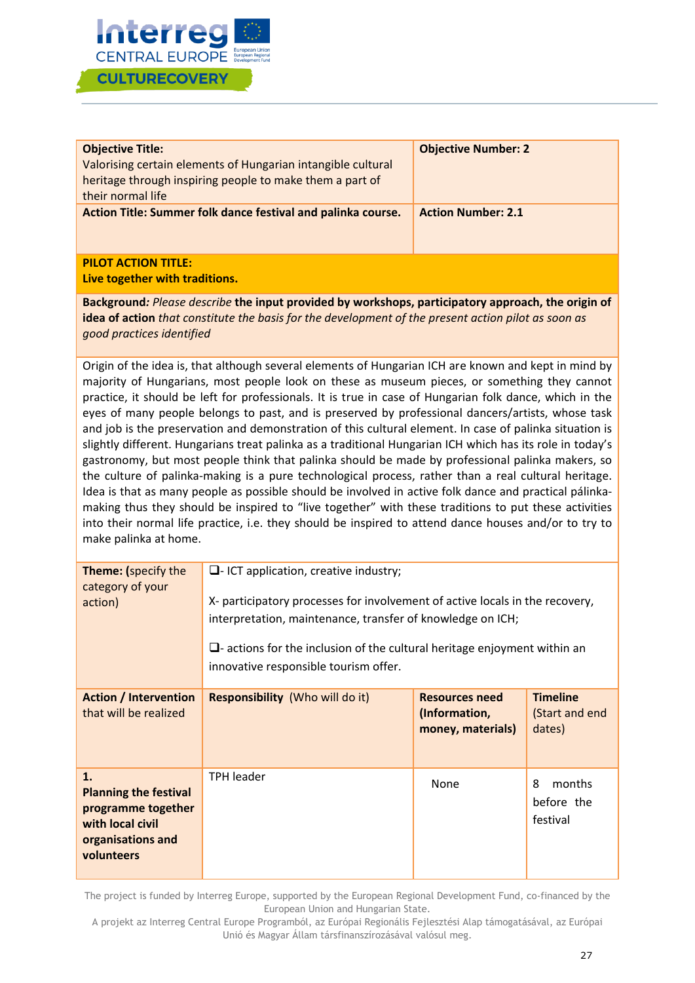

| <b>Objective Title:</b><br>Valorising certain elements of Hungarian intangible cultural<br>heritage through inspiring people to make them a part of<br>their normal life | <b>Objective Number: 2</b> |
|--------------------------------------------------------------------------------------------------------------------------------------------------------------------------|----------------------------|
| Action Title: Summer folk dance festival and palinka course.                                                                                                             | <b>Action Number: 2.1</b>  |

#### **PILOT ACTION TITLE:**

**Live together with traditions.**

**Background***: Please describe* **the input provided by workshops, participatory approach, the origin of idea of action** *that constitute the basis for the development of the present action pilot as soon as good practices identified* 

Origin of the idea is, that although several elements of Hungarian ICH are known and kept in mind by majority of Hungarians, most people look on these as museum pieces, or something they cannot practice, it should be left for professionals. It is true in case of Hungarian folk dance, which in the eyes of many people belongs to past, and is preserved by professional dancers/artists, whose task and job is the preservation and demonstration of this cultural element. In case of palinka situation is slightly different. Hungarians treat palinka as a traditional Hungarian ICH which has its role in today's gastronomy, but most people think that palinka should be made by professional palinka makers, so the culture of palinka-making is a pure technological process, rather than a real cultural heritage. Idea is that as many people as possible should be involved in active folk dance and practical pálinkamaking thus they should be inspired to "live together" with these traditions to put these activities into their normal life practice, i.e. they should be inspired to attend dance houses and/or to try to make palinka at home.

| <b>Theme:</b> (specify the<br>category of your<br>action)                                                       | $\Box$ - ICT application, creative industry;<br>X- participatory processes for involvement of active locals in the recovery,<br>interpretation, maintenance, transfer of knowledge on ICH;<br>$\Box$ - actions for the inclusion of the cultural heritage enjoyment within an<br>innovative responsible tourism offer. |                                                             |                                             |
|-----------------------------------------------------------------------------------------------------------------|------------------------------------------------------------------------------------------------------------------------------------------------------------------------------------------------------------------------------------------------------------------------------------------------------------------------|-------------------------------------------------------------|---------------------------------------------|
| <b>Action / Intervention</b><br>that will be realized                                                           | <b>Responsibility</b> (Who will do it)                                                                                                                                                                                                                                                                                 | <b>Resources need</b><br>(Information,<br>money, materials) | <b>Timeline</b><br>(Start and end<br>dates) |
| 1.<br><b>Planning the festival</b><br>programme together<br>with local civil<br>organisations and<br>volunteers | <b>TPH leader</b>                                                                                                                                                                                                                                                                                                      | None                                                        | 8<br>months<br>before the<br>festival       |

The project is funded by Interreg Europe, supported by the European Regional Development Fund, co-financed by the European Union and Hungarian State.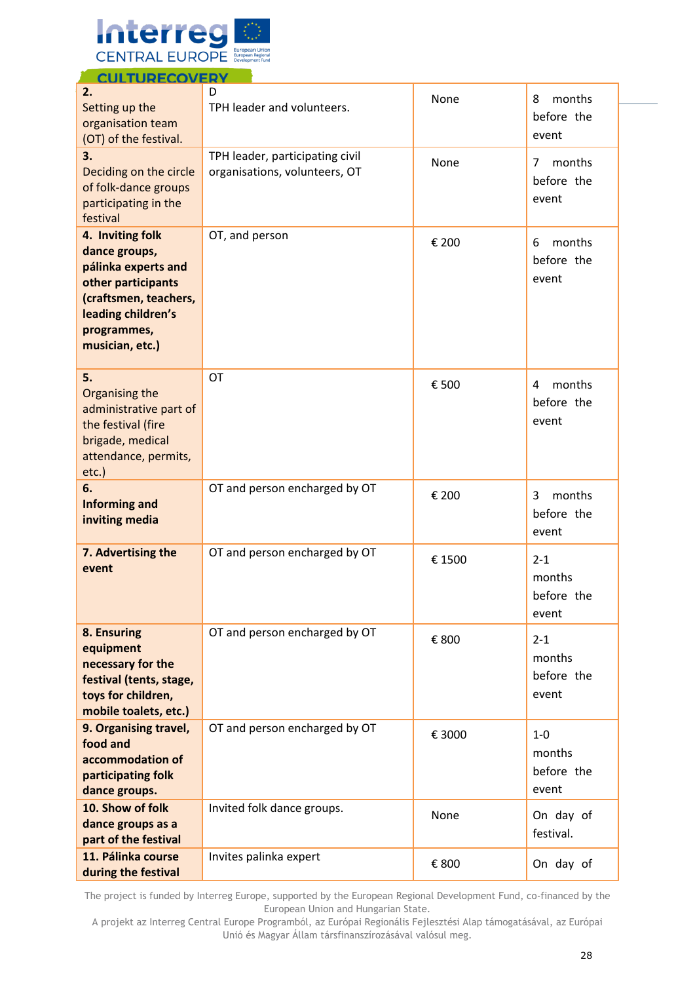

| 2.                                                                                                                                                              | D                                                                |        |                                          |
|-----------------------------------------------------------------------------------------------------------------------------------------------------------------|------------------------------------------------------------------|--------|------------------------------------------|
| Setting up the<br>organisation team<br>(OT) of the festival.                                                                                                    | TPH leader and volunteers.                                       | None   | months<br>8<br>before the<br>event       |
| 3.<br>Deciding on the circle<br>of folk-dance groups<br>participating in the<br>festival                                                                        | TPH leader, participating civil<br>organisations, volunteers, OT | None   | months<br>7<br>before the<br>event       |
| 4. Inviting folk<br>dance groups,<br>pálinka experts and<br>other participants<br>(craftsmen, teachers,<br>leading children's<br>programmes,<br>musician, etc.) | OT, and person                                                   | € 200  | months<br>6<br>before the<br>event       |
| 5.<br>Organising the<br>administrative part of<br>the festival (fire<br>brigade, medical<br>attendance, permits,<br>$etc.$ )                                    | OT                                                               | € 500  | months<br>4<br>before the<br>event       |
| 6.<br><b>Informing and</b><br>inviting media                                                                                                                    | OT and person encharged by OT                                    | € 200  | months<br>3<br>before the<br>event       |
| 7. Advertising the<br>event                                                                                                                                     | OT and person encharged by OT                                    | € 1500 | $2 - 1$<br>months<br>before the<br>event |
| 8. Ensuring<br>equipment<br>necessary for the<br>festival (tents, stage,<br>toys for children,<br>mobile toalets, etc.)                                         | OT and person encharged by OT                                    | € 800  | $2 - 1$<br>months<br>before the<br>event |
| 9. Organising travel,<br>food and<br>accommodation of<br>participating folk<br>dance groups.                                                                    | OT and person encharged by OT                                    | € 3000 | $1-0$<br>months<br>before the<br>event   |
| 10. Show of folk<br>dance groups as a<br>part of the festival                                                                                                   | Invited folk dance groups.                                       | None   | On day of<br>festival.                   |
| 11. Pálinka course<br>during the festival                                                                                                                       | Invites palinka expert                                           | € 800  | On day of                                |

The project is funded by Interreg Europe, supported by the European Regional Development Fund, co-financed by the European Union and Hungarian State.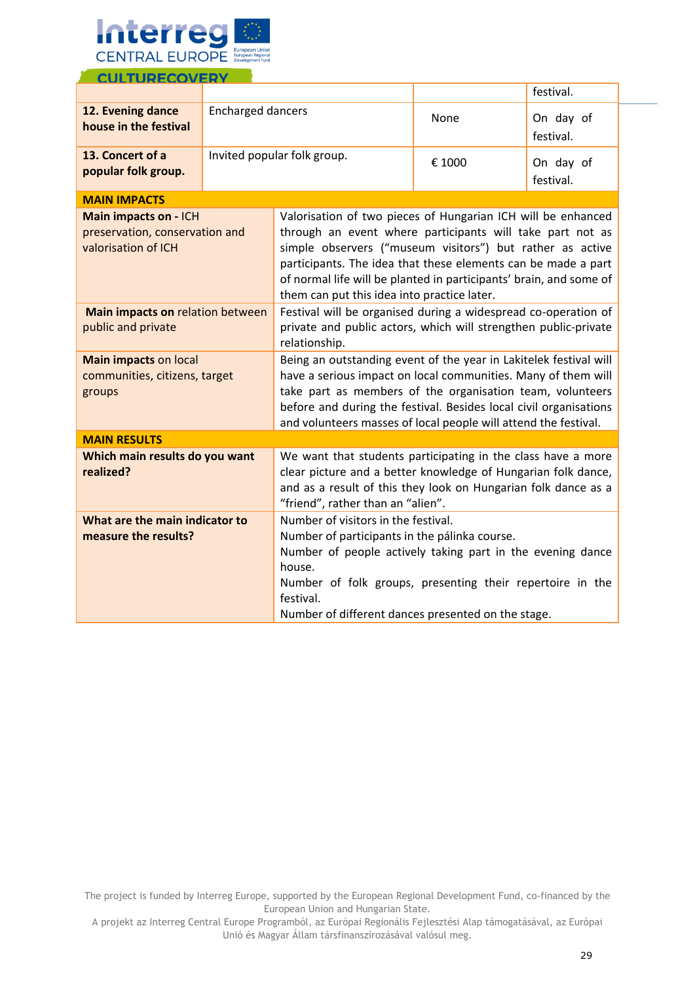

|                                                                                                                                                                                                                                                                                                                                                                                                                    |                          |                                                                                                                                                                                                                                                                                                                                                                              |        | festival.              |
|--------------------------------------------------------------------------------------------------------------------------------------------------------------------------------------------------------------------------------------------------------------------------------------------------------------------------------------------------------------------------------------------------------------------|--------------------------|------------------------------------------------------------------------------------------------------------------------------------------------------------------------------------------------------------------------------------------------------------------------------------------------------------------------------------------------------------------------------|--------|------------------------|
| 12. Evening dance<br>house in the festival                                                                                                                                                                                                                                                                                                                                                                         | <b>Encharged dancers</b> |                                                                                                                                                                                                                                                                                                                                                                              | None   | On day of<br>festival. |
| 13. Concert of a<br>popular folk group.                                                                                                                                                                                                                                                                                                                                                                            |                          | Invited popular folk group.                                                                                                                                                                                                                                                                                                                                                  | € 1000 | On day of<br>festival. |
| <b>MAIN IMPACTS</b>                                                                                                                                                                                                                                                                                                                                                                                                |                          |                                                                                                                                                                                                                                                                                                                                                                              |        |                        |
| Main impacts on - ICH<br>preservation, conservation and<br>valorisation of ICH                                                                                                                                                                                                                                                                                                                                     |                          | Valorisation of two pieces of Hungarian ICH will be enhanced<br>through an event where participants will take part not as<br>simple observers ("museum visitors") but rather as active<br>participants. The idea that these elements can be made a part<br>of normal life will be planted in participants' brain, and some of<br>them can put this idea into practice later. |        |                        |
| Main impacts on relation between<br>public and private                                                                                                                                                                                                                                                                                                                                                             |                          | Festival will be organised during a widespread co-operation of<br>private and public actors, which will strengthen public-private<br>relationship.                                                                                                                                                                                                                           |        |                        |
| Being an outstanding event of the year in Lakitelek festival will<br><b>Main impacts on local</b><br>have a serious impact on local communities. Many of them will<br>communities, citizens, target<br>take part as members of the organisation team, volunteers<br>groups<br>before and during the festival. Besides local civil organisations<br>and volunteers masses of local people will attend the festival. |                          |                                                                                                                                                                                                                                                                                                                                                                              |        |                        |
| <b>MAIN RESULTS</b>                                                                                                                                                                                                                                                                                                                                                                                                |                          |                                                                                                                                                                                                                                                                                                                                                                              |        |                        |
| Which main results do you want<br>realized?                                                                                                                                                                                                                                                                                                                                                                        |                          | We want that students participating in the class have a more<br>clear picture and a better knowledge of Hungarian folk dance,<br>and as a result of this they look on Hungarian folk dance as a<br>"friend", rather than an "alien".                                                                                                                                         |        |                        |
| What are the main indicator to<br>Number of visitors in the festival.<br>measure the results?<br>Number of participants in the pálinka course.<br>Number of people actively taking part in the evening dance<br>house.<br>Number of folk groups, presenting their repertoire in the<br>festival.<br>Number of different dances presented on the stage.                                                             |                          |                                                                                                                                                                                                                                                                                                                                                                              |        |                        |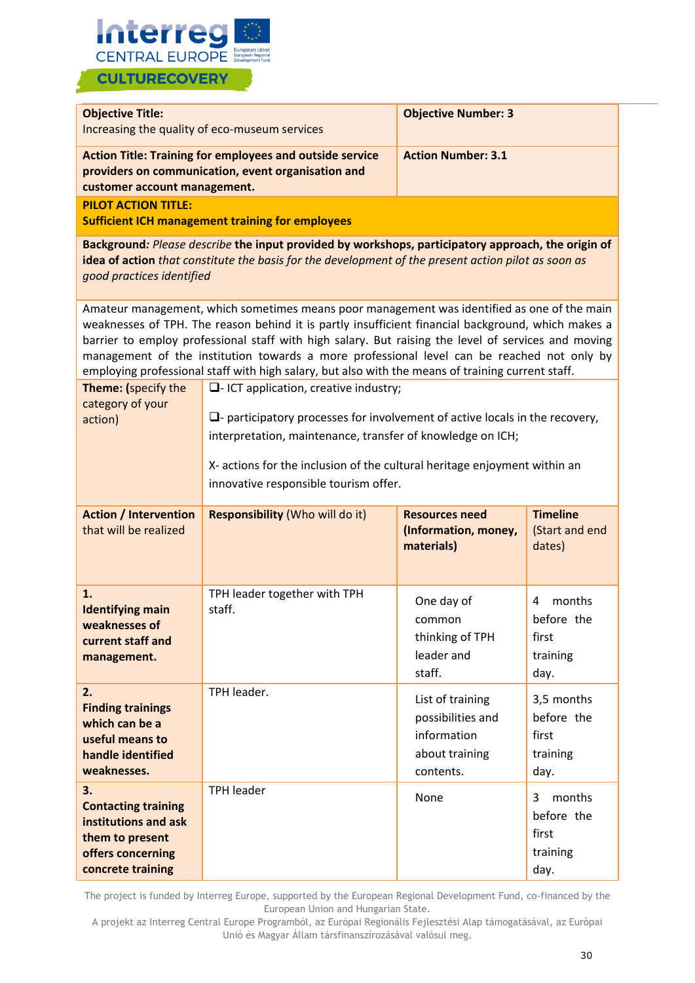

| <b>Objective Title:</b>                                                                                                                                                                                                                | Increasing the quality of eco-museum services                                                                                                                                                                                                                                                                                                                                                                                                                                                               | <b>Objective Number: 3</b>                                                          |                                                        |  |
|----------------------------------------------------------------------------------------------------------------------------------------------------------------------------------------------------------------------------------------|-------------------------------------------------------------------------------------------------------------------------------------------------------------------------------------------------------------------------------------------------------------------------------------------------------------------------------------------------------------------------------------------------------------------------------------------------------------------------------------------------------------|-------------------------------------------------------------------------------------|--------------------------------------------------------|--|
| <b>Action Title: Training for employees and outside service</b><br><b>Action Number: 3.1</b><br>providers on communication, event organisation and<br>customer account management.                                                     |                                                                                                                                                                                                                                                                                                                                                                                                                                                                                                             |                                                                                     |                                                        |  |
| <b>PILOT ACTION TITLE:</b>                                                                                                                                                                                                             | <b>Sufficient ICH management training for employees</b>                                                                                                                                                                                                                                                                                                                                                                                                                                                     |                                                                                     |                                                        |  |
| Background: Please describe the input provided by workshops, participatory approach, the origin of<br>idea of action that constitute the basis for the development of the present action pilot as soon as<br>good practices identified |                                                                                                                                                                                                                                                                                                                                                                                                                                                                                                             |                                                                                     |                                                        |  |
|                                                                                                                                                                                                                                        | Amateur management, which sometimes means poor management was identified as one of the main<br>weaknesses of TPH. The reason behind it is partly insufficient financial background, which makes a<br>barrier to employ professional staff with high salary. But raising the level of services and moving<br>management of the institution towards a more professional level can be reached not only by<br>employing professional staff with high salary, but also with the means of training current staff. |                                                                                     |                                                        |  |
| Theme: (specify the<br>category of your<br>action)                                                                                                                                                                                     | $\Box$ - ICT application, creative industry;<br>$\Box$ - participatory processes for involvement of active locals in the recovery,<br>interpretation, maintenance, transfer of knowledge on ICH;<br>X- actions for the inclusion of the cultural heritage enjoyment within an<br>innovative responsible tourism offer.                                                                                                                                                                                      |                                                                                     |                                                        |  |
| <b>Action / Intervention</b><br>that will be realized                                                                                                                                                                                  | <b>Responsibility (Who will do it)</b>                                                                                                                                                                                                                                                                                                                                                                                                                                                                      | <b>Resources need</b><br>(Information, money,<br>materials)                         | <b>Timeline</b><br>(Start and end<br>dates)            |  |
| 1.<br><b>Identifying main</b><br>weaknesses of<br>current staff and<br>management.                                                                                                                                                     | TPH leader together with TPH<br>staff.                                                                                                                                                                                                                                                                                                                                                                                                                                                                      | One day of<br>common<br>thinking of TPH<br>leader and<br>staff.                     | months<br>4<br>before the<br>first<br>training<br>day. |  |
| 2.<br><b>Finding trainings</b><br>which can be a<br>useful means to<br>handle identified<br>weaknesses.                                                                                                                                | TPH leader.                                                                                                                                                                                                                                                                                                                                                                                                                                                                                                 | List of training<br>possibilities and<br>information<br>about training<br>contents. | 3,5 months<br>before the<br>first<br>training<br>day.  |  |
| 3.<br><b>Contacting training</b><br>institutions and ask<br>them to present<br>offers concerning<br>concrete training                                                                                                                  | <b>TPH leader</b>                                                                                                                                                                                                                                                                                                                                                                                                                                                                                           | None                                                                                | months<br>3<br>before the<br>first<br>training<br>day. |  |

The project is funded by Interreg Europe, supported by the European Regional Development Fund, co-financed by the European Union and Hungarian State.